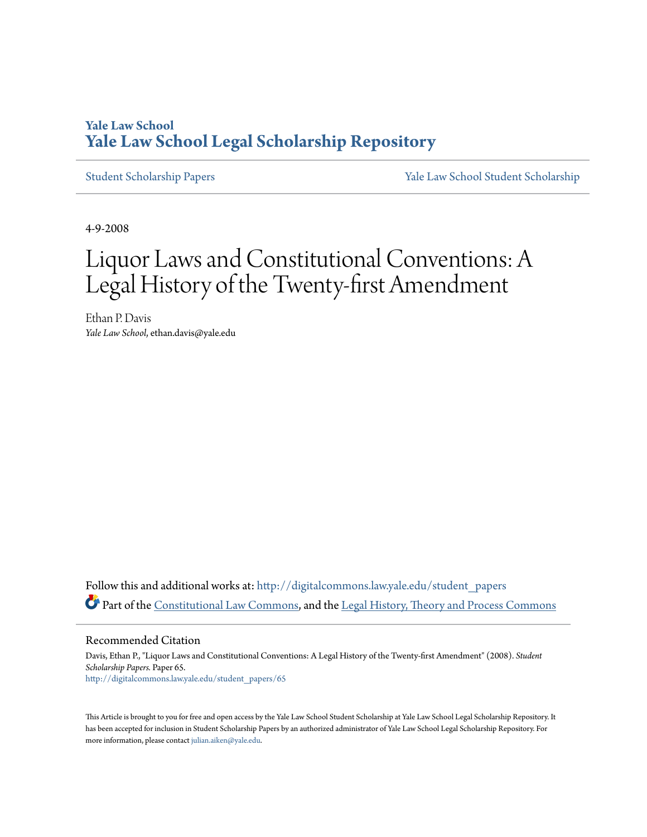# **Yale Law School [Yale Law School Legal Scholarship Repository](http://digitalcommons.law.yale.edu?utm_source=digitalcommons.law.yale.edu%2Fstudent_papers%2F65&utm_medium=PDF&utm_campaign=PDFCoverPages)**

[Student Scholarship Papers](http://digitalcommons.law.yale.edu/student_papers?utm_source=digitalcommons.law.yale.edu%2Fstudent_papers%2F65&utm_medium=PDF&utm_campaign=PDFCoverPages) [Yale Law School Student Scholarship](http://digitalcommons.law.yale.edu/student?utm_source=digitalcommons.law.yale.edu%2Fstudent_papers%2F65&utm_medium=PDF&utm_campaign=PDFCoverPages)

4-9-2008

# Liquor Laws and Constitutional Conventions: A Legal History of the Twenty-first Amendment

Ethan P. Davis *Yale Law School*, ethan.davis@yale.edu

Follow this and additional works at: [http://digitalcommons.law.yale.edu/student\\_papers](http://digitalcommons.law.yale.edu/student_papers?utm_source=digitalcommons.law.yale.edu%2Fstudent_papers%2F65&utm_medium=PDF&utm_campaign=PDFCoverPages) Part of the [Constitutional Law Commons,](http://network.bepress.com/hgg/discipline/589?utm_source=digitalcommons.law.yale.edu%2Fstudent_papers%2F65&utm_medium=PDF&utm_campaign=PDFCoverPages) and the [Legal History, Theory and Process Commons](http://network.bepress.com/hgg/discipline/904?utm_source=digitalcommons.law.yale.edu%2Fstudent_papers%2F65&utm_medium=PDF&utm_campaign=PDFCoverPages)

Recommended Citation

Davis, Ethan P., "Liquor Laws and Constitutional Conventions: A Legal History of the Twenty-first Amendment" (2008). *Student Scholarship Papers.* Paper 65. [http://digitalcommons.law.yale.edu/student\\_papers/65](http://digitalcommons.law.yale.edu/student_papers/65?utm_source=digitalcommons.law.yale.edu%2Fstudent_papers%2F65&utm_medium=PDF&utm_campaign=PDFCoverPages)

This Article is brought to you for free and open access by the Yale Law School Student Scholarship at Yale Law School Legal Scholarship Repository. It has been accepted for inclusion in Student Scholarship Papers by an authorized administrator of Yale Law School Legal Scholarship Repository. For more information, please contact [julian.aiken@yale.edu.](mailto:julian.aiken@yale.edu)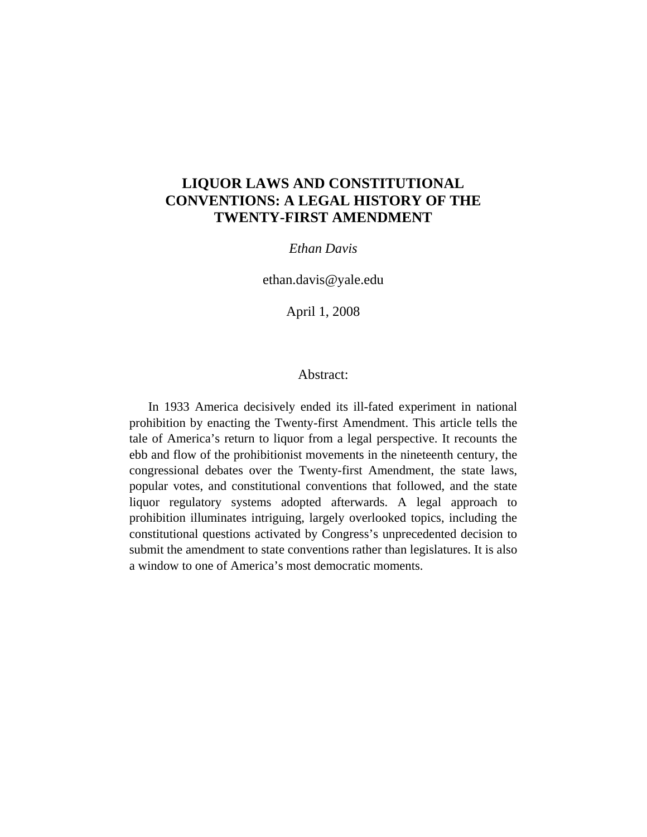# **LIQUOR LAWS AND CONSTITUTIONAL CONVENTIONS: A LEGAL HISTORY OF THE TWENTY-FIRST AMENDMENT**

## *Ethan Davis*

ethan.davis@yale.edu

April 1, 2008

### Abstract:

In 1933 America decisively ended its ill-fated experiment in national prohibition by enacting the Twenty-first Amendment. This article tells the tale of America's return to liquor from a legal perspective. It recounts the ebb and flow of the prohibitionist movements in the nineteenth century, the congressional debates over the Twenty-first Amendment, the state laws, popular votes, and constitutional conventions that followed, and the state liquor regulatory systems adopted afterwards. A legal approach to prohibition illuminates intriguing, largely overlooked topics, including the constitutional questions activated by Congress's unprecedented decision to submit the amendment to state conventions rather than legislatures. It is also a window to one of America's most democratic moments.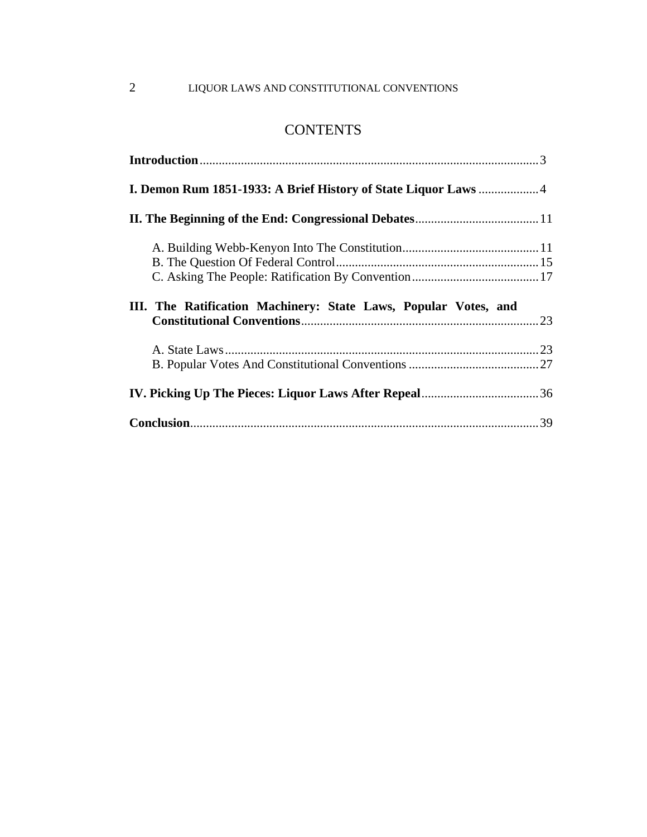# 2 LIQUOR LAWS AND CONSTITUTIONAL CONVENTIONS

# **CONTENTS**

| <b>I. Demon Rum 1851-1933: A Brief History of State Liquor Laws </b> 4 |  |
|------------------------------------------------------------------------|--|
|                                                                        |  |
|                                                                        |  |
|                                                                        |  |
|                                                                        |  |
|                                                                        |  |
| III. The Ratification Machinery: State Laws, Popular Votes, and        |  |
|                                                                        |  |
|                                                                        |  |
|                                                                        |  |
|                                                                        |  |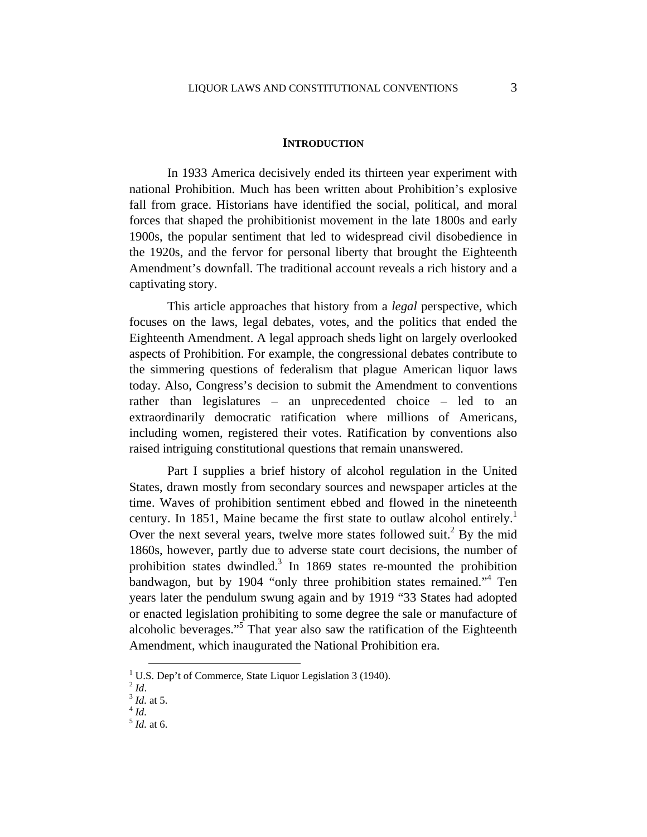#### **INTRODUCTION**

In 1933 America decisively ended its thirteen year experiment with national Prohibition. Much has been written about Prohibition's explosive fall from grace. Historians have identified the social, political, and moral forces that shaped the prohibitionist movement in the late 1800s and early 1900s, the popular sentiment that led to widespread civil disobedience in the 1920s, and the fervor for personal liberty that brought the Eighteenth Amendment's downfall. The traditional account reveals a rich history and a captivating story.

This article approaches that history from a *legal* perspective, which focuses on the laws, legal debates, votes, and the politics that ended the Eighteenth Amendment. A legal approach sheds light on largely overlooked aspects of Prohibition. For example, the congressional debates contribute to the simmering questions of federalism that plague American liquor laws today. Also, Congress's decision to submit the Amendment to conventions rather than legislatures – an unprecedented choice – led to an extraordinarily democratic ratification where millions of Americans, including women, registered their votes. Ratification by conventions also raised intriguing constitutional questions that remain unanswered.

Part I supplies a brief history of alcohol regulation in the United States, drawn mostly from secondary sources and newspaper articles at the time. Waves of prohibition sentiment ebbed and flowed in the nineteenth century. In 1851, Maine became the first state to outlaw alcohol entirely.<sup>1</sup> Over the next several years, twelve more states followed suit.<sup>2</sup> By the mid 1860s, however, partly due to adverse state court decisions, the number of prohibition states dwindled.<sup>3</sup> In 1869 states re-mounted the prohibition bandwagon, but by 1904 "only three prohibition states remained."<sup>4</sup> Ten years later the pendulum swung again and by 1919 "33 States had adopted or enacted legislation prohibiting to some degree the sale or manufacture of alcoholic beverages."<sup>5</sup> That year also saw the ratification of the Eighteenth Amendment, which inaugurated the National Prohibition era.

<sup>&</sup>lt;sup>1</sup> U.S. Dep't of Commerce, State Liquor Legislation 3 (1940).

<sup>2</sup> *Id*. 3 *Id.* at 5. 4 *Id.* 

<sup>5</sup> *Id.* at 6.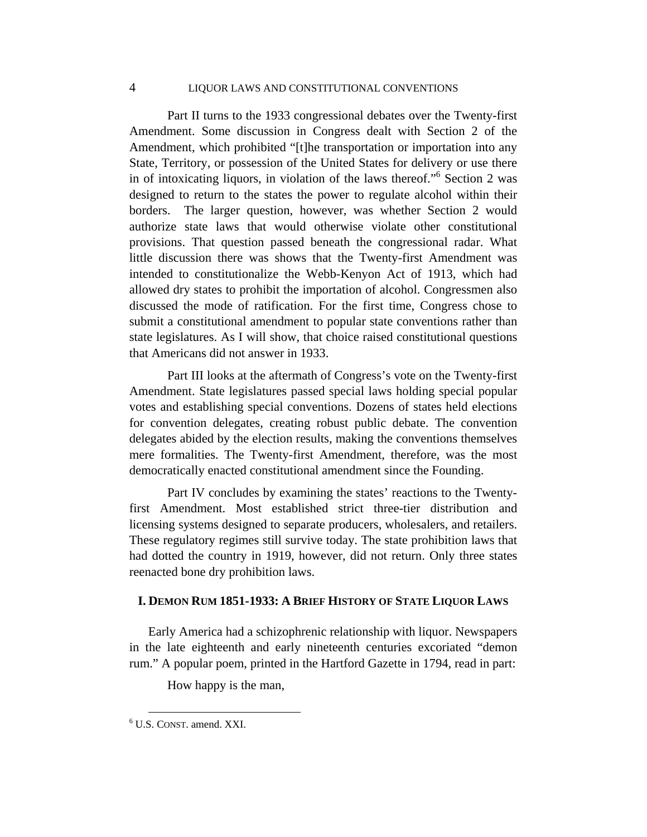# 4 LIQUOR LAWS AND CONSTITUTIONAL CONVENTIONS

Part II turns to the 1933 congressional debates over the Twenty-first Amendment. Some discussion in Congress dealt with Section 2 of the Amendment, which prohibited "[t]he transportation or importation into any State, Territory, or possession of the United States for delivery or use there in of intoxicating liquors, in violation of the laws thereof."6 Section 2 was designed to return to the states the power to regulate alcohol within their borders. The larger question, however, was whether Section 2 would authorize state laws that would otherwise violate other constitutional provisions. That question passed beneath the congressional radar. What little discussion there was shows that the Twenty-first Amendment was intended to constitutionalize the Webb-Kenyon Act of 1913, which had allowed dry states to prohibit the importation of alcohol. Congressmen also discussed the mode of ratification. For the first time, Congress chose to submit a constitutional amendment to popular state conventions rather than state legislatures. As I will show, that choice raised constitutional questions that Americans did not answer in 1933.

Part III looks at the aftermath of Congress's vote on the Twenty-first Amendment. State legislatures passed special laws holding special popular votes and establishing special conventions. Dozens of states held elections for convention delegates, creating robust public debate. The convention delegates abided by the election results, making the conventions themselves mere formalities. The Twenty-first Amendment, therefore, was the most democratically enacted constitutional amendment since the Founding.

 Part IV concludes by examining the states' reactions to the Twentyfirst Amendment. Most established strict three-tier distribution and licensing systems designed to separate producers, wholesalers, and retailers. These regulatory regimes still survive today. The state prohibition laws that had dotted the country in 1919, however, did not return. Only three states reenacted bone dry prohibition laws.

#### **I. DEMON RUM 1851-1933: A BRIEF HISTORY OF STATE LIQUOR LAWS**

Early America had a schizophrenic relationship with liquor. Newspapers in the late eighteenth and early nineteenth centuries excoriated "demon rum." A popular poem, printed in the Hartford Gazette in 1794, read in part:

How happy is the man,

 <sup>6</sup> U.S. CONST. amend. XXI.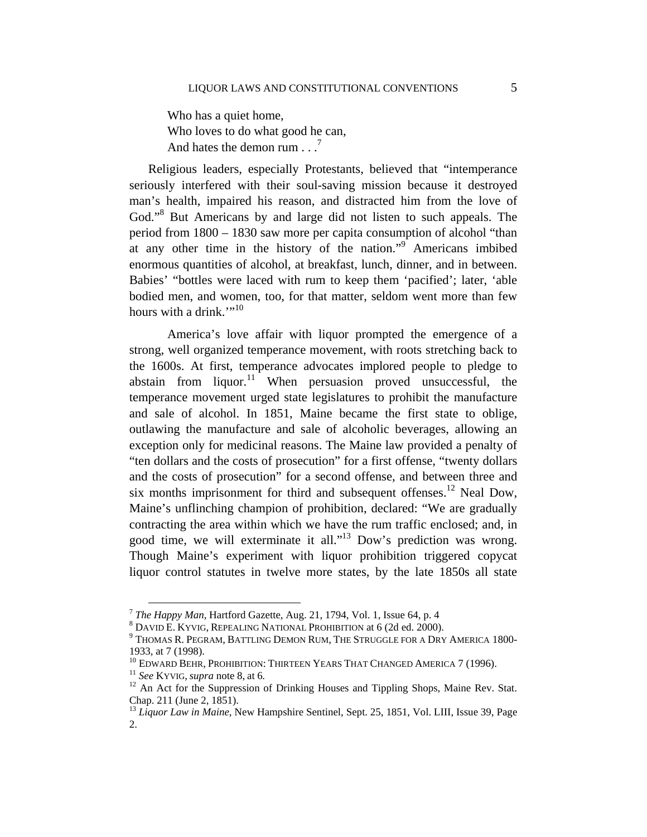Who has a quiet home, Who loves to do what good he can, And hates the demon rum  $\ldots$ <sup>7</sup>

Religious leaders, especially Protestants, believed that "intemperance seriously interfered with their soul-saving mission because it destroyed man's health, impaired his reason, and distracted him from the love of God."<sup>8</sup> But Americans by and large did not listen to such appeals. The period from 1800 – 1830 saw more per capita consumption of alcohol "than at any other time in the history of the nation."<sup>9</sup> Americans imbibed enormous quantities of alcohol, at breakfast, lunch, dinner, and in between. Babies' "bottles were laced with rum to keep them 'pacified'; later, 'able bodied men, and women, too, for that matter, seldom went more than few hours with a drink." $10^{10}$ 

America's love affair with liquor prompted the emergence of a strong, well organized temperance movement, with roots stretching back to the 1600s. At first, temperance advocates implored people to pledge to abstain from  $liqu$ <sub>11</sub> When persuasion proved unsuccessful, the temperance movement urged state legislatures to prohibit the manufacture and sale of alcohol. In 1851, Maine became the first state to oblige, outlawing the manufacture and sale of alcoholic beverages, allowing an exception only for medicinal reasons. The Maine law provided a penalty of "ten dollars and the costs of prosecution" for a first offense, "twenty dollars and the costs of prosecution" for a second offense, and between three and six months imprisonment for third and subsequent offenses.<sup>12</sup> Neal Dow, Maine's unflinching champion of prohibition, declared: "We are gradually contracting the area within which we have the rum traffic enclosed; and, in good time, we will exterminate it all."13 Dow's prediction was wrong. Though Maine's experiment with liquor prohibition triggered copycat liquor control statutes in twelve more states, by the late 1850s all state

<sup>7</sup> *The Happy Man*, Hartford Gazette, Aug. 21, 1794, Vol. 1, Issue 64, p. 4 8

DAVID E. KYVIG, REPEALING NATIONAL PROHIBITION at 6 (2d ed. 2000). 9

THOMAS R. PEGRAM, BATTLING DEMON RUM, THE STRUGGLE FOR A DRY AMERICA 1800- 1933, at 7 (1998).<br><sup>10</sup> EDWARD BEHR, PROHIBITION: THIRTEEN YEARS THAT CHANGED AMERICA 7 (1996).

<sup>&</sup>lt;sup>11</sup> See KYVIG, *supra* note 8, at 6. <br><sup>12</sup> An Act for the Suppression of Drinking Houses and Tippling Shops, Maine Rev. Stat. Chap. 211 (June 2, 1851).

<sup>&</sup>lt;sup>13</sup> Liquor Law in Maine, New Hampshire Sentinel, Sept. 25, 1851, Vol. LIII, Issue 39, Page 2.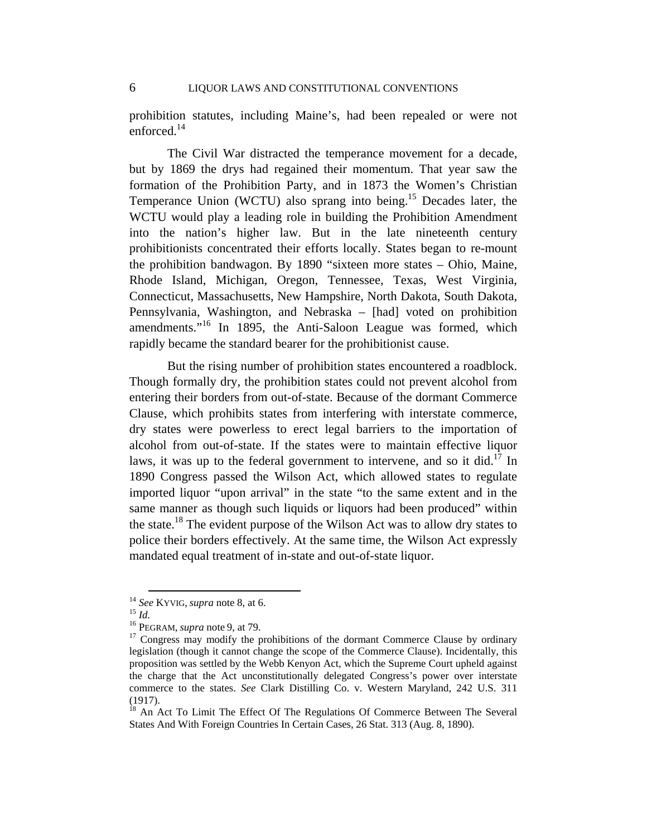prohibition statutes, including Maine's, had been repealed or were not enforced.14

The Civil War distracted the temperance movement for a decade, but by 1869 the drys had regained their momentum. That year saw the formation of the Prohibition Party, and in 1873 the Women's Christian Temperance Union (WCTU) also sprang into being.<sup>15</sup> Decades later, the WCTU would play a leading role in building the Prohibition Amendment into the nation's higher law. But in the late nineteenth century prohibitionists concentrated their efforts locally. States began to re-mount the prohibition bandwagon. By 1890 "sixteen more states – Ohio, Maine, Rhode Island, Michigan, Oregon, Tennessee, Texas, West Virginia, Connecticut, Massachusetts, New Hampshire, North Dakota, South Dakota, Pennsylvania, Washington, and Nebraska – [had] voted on prohibition amendments."16 In 1895, the Anti-Saloon League was formed, which rapidly became the standard bearer for the prohibitionist cause.

But the rising number of prohibition states encountered a roadblock. Though formally dry, the prohibition states could not prevent alcohol from entering their borders from out-of-state. Because of the dormant Commerce Clause, which prohibits states from interfering with interstate commerce, dry states were powerless to erect legal barriers to the importation of alcohol from out-of-state. If the states were to maintain effective liquor laws, it was up to the federal government to intervene, and so it did.<sup>17</sup> In 1890 Congress passed the Wilson Act, which allowed states to regulate imported liquor "upon arrival" in the state "to the same extent and in the same manner as though such liquids or liquors had been produced" within the state.18 The evident purpose of the Wilson Act was to allow dry states to police their borders effectively. At the same time, the Wilson Act expressly mandated equal treatment of in-state and out-of-state liquor.

<sup>&</sup>lt;sup>14</sup> *See* KYVIG, *supra* note 8, at 6.<br><sup>15</sup> *Id.* 16 PEGRAM, *supra* note 9, at 79.<br><sup>17</sup> Congress may modify the prohibitions of the dormant Commerce Clause by ordinary legislation (though it cannot change the scope of the Commerce Clause). Incidentally, this proposition was settled by the Webb Kenyon Act, which the Supreme Court upheld against the charge that the Act unconstitutionally delegated Congress's power over interstate commerce to the states. *See* Clark Distilling Co. v. Western Maryland, 242 U.S. 311 (1917).

<sup>&</sup>lt;sup>18</sup> An Act To Limit The Effect Of The Regulations Of Commerce Between The Several States And With Foreign Countries In Certain Cases, 26 Stat. 313 (Aug. 8, 1890).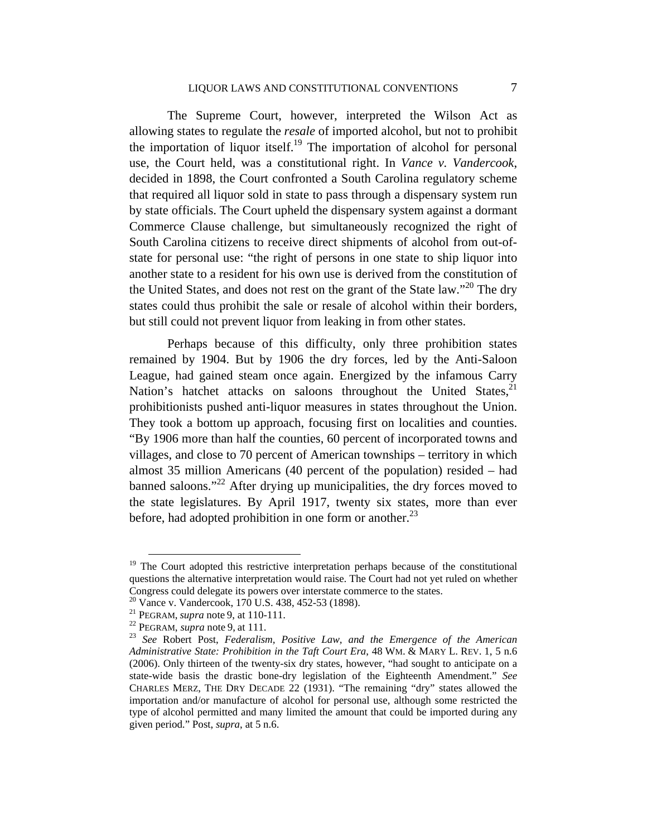The Supreme Court, however, interpreted the Wilson Act as allowing states to regulate the *resale* of imported alcohol, but not to prohibit the importation of liquor itself.<sup>19</sup> The importation of alcohol for personal use, the Court held, was a constitutional right. In *Vance v. Vandercook*, decided in 1898, the Court confronted a South Carolina regulatory scheme that required all liquor sold in state to pass through a dispensary system run by state officials. The Court upheld the dispensary system against a dormant Commerce Clause challenge, but simultaneously recognized the right of South Carolina citizens to receive direct shipments of alcohol from out-ofstate for personal use: "the right of persons in one state to ship liquor into another state to a resident for his own use is derived from the constitution of the United States, and does not rest on the grant of the State law."<sup>20</sup> The dry states could thus prohibit the sale or resale of alcohol within their borders, but still could not prevent liquor from leaking in from other states.

Perhaps because of this difficulty, only three prohibition states remained by 1904. But by 1906 the dry forces, led by the Anti-Saloon League, had gained steam once again. Energized by the infamous Carry Nation's hatchet attacks on saloons throughout the United States, $2<sup>1</sup>$ prohibitionists pushed anti-liquor measures in states throughout the Union. They took a bottom up approach, focusing first on localities and counties. "By 1906 more than half the counties, 60 percent of incorporated towns and villages, and close to 70 percent of American townships – territory in which almost 35 million Americans (40 percent of the population) resided – had banned saloons."<sup>22</sup> After drying up municipalities, the dry forces moved to the state legislatures. By April 1917, twenty six states, more than ever before, had adopted prohibition in one form or another. $^{23}$ 

<sup>&</sup>lt;sup>19</sup> The Court adopted this restrictive interpretation perhaps because of the constitutional questions the alternative interpretation would raise. The Court had not yet ruled on whether Congress could delegate its powers over interstate commerce to the states.

<sup>&</sup>lt;sup>20</sup> Vance v. Vandercook, 170 U.S. 438, 452-53 (1898).<br><sup>21</sup> PEGRAM, *supra* note 9, at 110-111.

<sup>&</sup>lt;sup>22</sup> PEGRAM, *supra* note 9, at 111.<br><sup>23</sup> *See* Robert Post, *Federalism, Positive Law, and the Emergence of the American Administrative State: Prohibition in the Taft Court Era*, 48 WM. & MARY L. REV. 1, 5 n.6 (2006). Only thirteen of the twenty-six dry states, however, "had sought to anticipate on a state-wide basis the drastic bone-dry legislation of the Eighteenth Amendment." *See*  CHARLES MERZ, THE DRY DECADE 22 (1931). "The remaining "dry" states allowed the importation and/or manufacture of alcohol for personal use, although some restricted the type of alcohol permitted and many limited the amount that could be imported during any given period." Post, *supra*, at 5 n.6.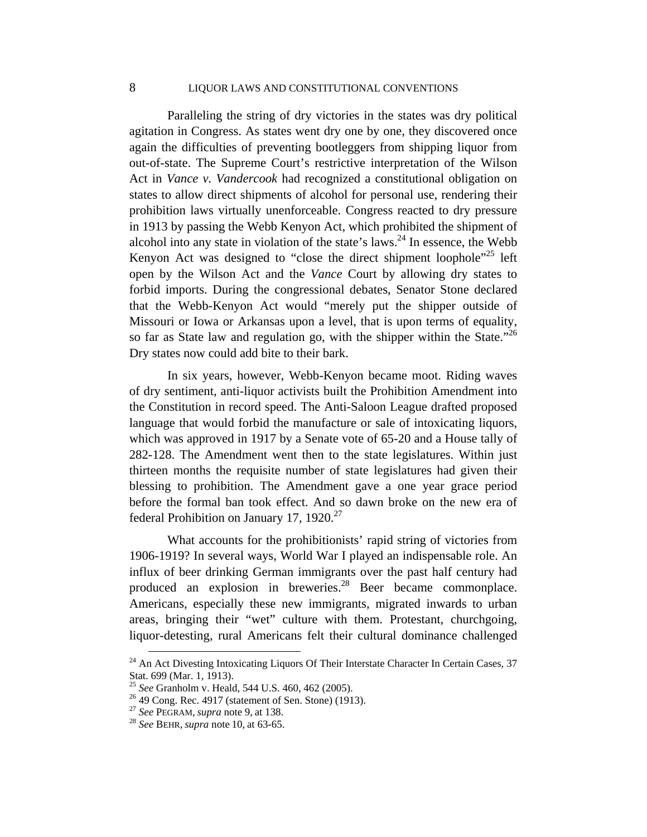# 8 LIQUOR LAWS AND CONSTITUTIONAL CONVENTIONS

Paralleling the string of dry victories in the states was dry political agitation in Congress. As states went dry one by one, they discovered once again the difficulties of preventing bootleggers from shipping liquor from out-of-state. The Supreme Court's restrictive interpretation of the Wilson Act in *Vance v. Vandercook* had recognized a constitutional obligation on states to allow direct shipments of alcohol for personal use, rendering their prohibition laws virtually unenforceable. Congress reacted to dry pressure in 1913 by passing the Webb Kenyon Act, which prohibited the shipment of alcohol into any state in violation of the state's laws.<sup>24</sup> In essence, the Webb Kenyon Act was designed to "close the direct shipment loophole"<sup>25</sup> left open by the Wilson Act and the *Vance* Court by allowing dry states to forbid imports. During the congressional debates, Senator Stone declared that the Webb-Kenyon Act would "merely put the shipper outside of Missouri or Iowa or Arkansas upon a level, that is upon terms of equality, so far as State law and regulation go, with the shipper within the State."<sup>26</sup> Dry states now could add bite to their bark.

In six years, however, Webb-Kenyon became moot. Riding waves of dry sentiment, anti-liquor activists built the Prohibition Amendment into the Constitution in record speed. The Anti-Saloon League drafted proposed language that would forbid the manufacture or sale of intoxicating liquors, which was approved in 1917 by a Senate vote of 65-20 and a House tally of 282-128. The Amendment went then to the state legislatures. Within just thirteen months the requisite number of state legislatures had given their blessing to prohibition. The Amendment gave a one year grace period before the formal ban took effect. And so dawn broke on the new era of federal Prohibition on January 17, 1920.<sup>27</sup>

What accounts for the prohibitionists' rapid string of victories from 1906-1919? In several ways, World War I played an indispensable role. An influx of beer drinking German immigrants over the past half century had produced an explosion in breweries.<sup>28</sup> Beer became commonplace. Americans, especially these new immigrants, migrated inwards to urban areas, bringing their "wet" culture with them. Protestant, churchgoing, liquor-detesting, rural Americans felt their cultural dominance challenged

 $^{24}$  An Act Divesting Intoxicating Liquors Of Their Interstate Character In Certain Cases, 37 Stat. 699 (Mar. 1, 1913).

<sup>&</sup>lt;sup>25</sup> *See* Granholm v. Heald, 544 U.S. 460, 462 (2005).<br><sup>26</sup> 49 Cong. Rec. 4917 (statement of Sen. Stone) (1913).

<sup>27</sup> *See* PEGRAM, *supra* note 9, at 138. 28 *See* BEHR, *supra* note 10, at 63-65.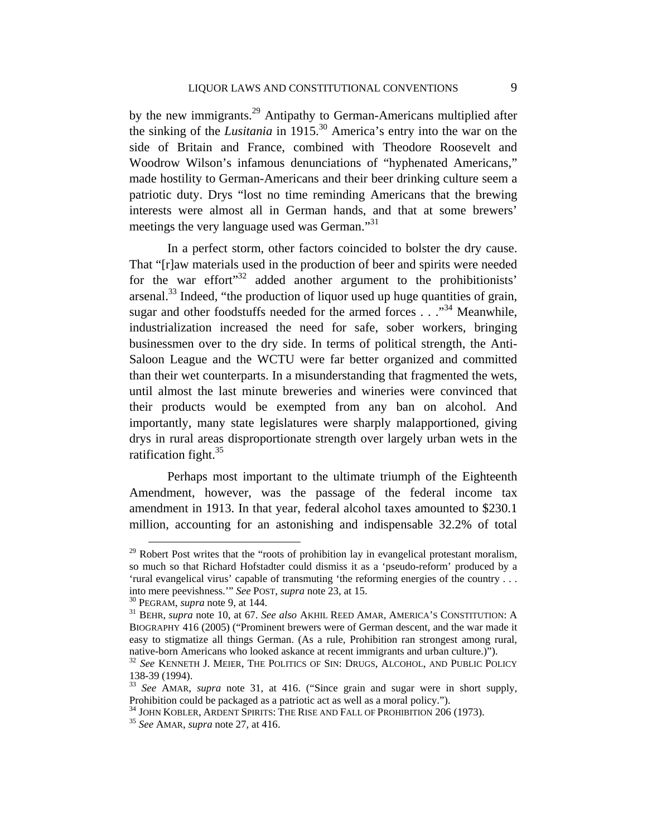by the new immigrants.<sup>29</sup> Antipathy to German-Americans multiplied after the sinking of the *Lusitania* in 1915.30 America's entry into the war on the side of Britain and France, combined with Theodore Roosevelt and Woodrow Wilson's infamous denunciations of "hyphenated Americans," made hostility to German-Americans and their beer drinking culture seem a patriotic duty. Drys "lost no time reminding Americans that the brewing interests were almost all in German hands, and that at some brewers' meetings the very language used was German."<sup>31</sup>

In a perfect storm, other factors coincided to bolster the dry cause. That "[r]aw materials used in the production of beer and spirits were needed for the war effort<sup>"32</sup> added another argument to the prohibitionists' arsenal.<sup>33</sup> Indeed, "the production of liquor used up huge quantities of grain, sugar and other foodstuffs needed for the armed forces . . ."<sup>34</sup> Meanwhile, industrialization increased the need for safe, sober workers, bringing businessmen over to the dry side. In terms of political strength, the Anti-Saloon League and the WCTU were far better organized and committed than their wet counterparts. In a misunderstanding that fragmented the wets, until almost the last minute breweries and wineries were convinced that their products would be exempted from any ban on alcohol. And importantly, many state legislatures were sharply malapportioned, giving drys in rural areas disproportionate strength over largely urban wets in the ratification fight.<sup>35</sup>

Perhaps most important to the ultimate triumph of the Eighteenth Amendment, however, was the passage of the federal income tax amendment in 1913. In that year, federal alcohol taxes amounted to \$230.1 million, accounting for an astonishing and indispensable 32.2% of total

 $29$  Robert Post writes that the "roots of prohibition lay in evangelical protestant moralism, so much so that Richard Hofstadter could dismiss it as a 'pseudo-reform' produced by a 'rural evangelical virus' capable of transmuting 'the reforming energies of the country ... into mere peevishness.'" See POST, supra note 23, at 15.

<sup>&</sup>lt;sup>30</sup> PEGRAM, *supra* note 9, at 144. <br><sup>31</sup> BEHR, *supra* note 10, at 67. *See also* AKHIL REED AMAR, AMERICA'S CONSTITUTION: A BIOGRAPHY 416 (2005) ("Prominent brewers were of German descent, and the war made it easy to stigmatize all things German. (As a rule, Prohibition ran strongest among rural, native-born Americans who looked askance at recent immigrants and urban culture.)"). 32 *See* KENNETH J. MEIER, THE POLITICS OF SIN: DRUGS, ALCOHOL, AND PUBLIC POLICY

<sup>138-39 (1994).</sup> 

<sup>33</sup> *See* AMAR, *supra* note 31, at 416. ("Since grain and sugar were in short supply,

Prohibition could be packaged as a patriotic act as well as a moral policy."). 34 JOHN KOBLER, ARDENT SPIRITS: THE RISE AND FALL OF PROHIBITION 206 (1973). 35 *See* AMAR, *supra* note 27, at 416.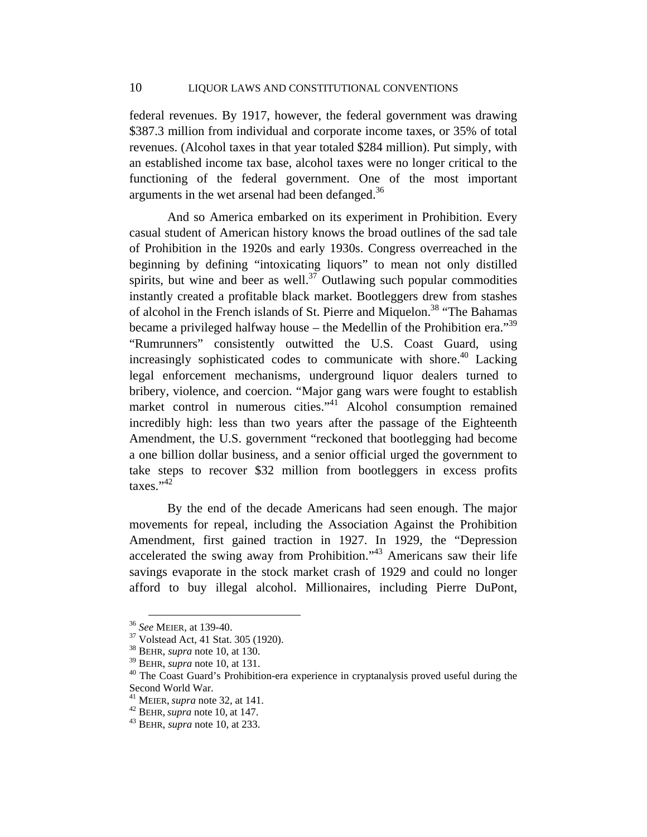federal revenues. By 1917, however, the federal government was drawing \$387.3 million from individual and corporate income taxes, or 35% of total revenues. (Alcohol taxes in that year totaled \$284 million). Put simply, with an established income tax base, alcohol taxes were no longer critical to the functioning of the federal government. One of the most important arguments in the wet arsenal had been defanged.<sup>36</sup>

And so America embarked on its experiment in Prohibition. Every casual student of American history knows the broad outlines of the sad tale of Prohibition in the 1920s and early 1930s. Congress overreached in the beginning by defining "intoxicating liquors" to mean not only distilled spirits, but wine and beer as well.<sup>37</sup> Outlawing such popular commodities instantly created a profitable black market. Bootleggers drew from stashes of alcohol in the French islands of St. Pierre and Miquelon.<sup>38</sup> "The Bahamas" became a privileged halfway house – the Medellin of the Prohibition era.<sup>39</sup> "Rumrunners" consistently outwitted the U.S. Coast Guard, using increasingly sophisticated codes to communicate with shore.<sup>40</sup> Lacking legal enforcement mechanisms, underground liquor dealers turned to bribery, violence, and coercion. "Major gang wars were fought to establish market control in numerous cities."<sup>41</sup> Alcohol consumption remained incredibly high: less than two years after the passage of the Eighteenth Amendment, the U.S. government "reckoned that bootlegging had become a one billion dollar business, and a senior official urged the government to take steps to recover \$32 million from bootleggers in excess profits  $\text{taxes.}^{942}$ 

By the end of the decade Americans had seen enough. The major movements for repeal, including the Association Against the Prohibition Amendment, first gained traction in 1927. In 1929, the "Depression accelerated the swing away from Prohibition."43 Americans saw their life savings evaporate in the stock market crash of 1929 and could no longer afford to buy illegal alcohol. Millionaires, including Pierre DuPont,

<sup>36</sup> *See* MEIER*,* at 139-40. 37 Volstead Act, 41 Stat. 305 (1920).

<sup>&</sup>lt;sup>38</sup> BEHR, *supra* note 10, at 130.<br><sup>39</sup> BEHR, *supra* note 10, at 131.

<sup>&</sup>lt;sup>40</sup> The Coast Guard's Prohibition-era experience in cryptanalysis proved useful during the Second World War.<br><sup>41</sup> MEIER, *supra* note 32, at 141.

<sup>41</sup> MEIER, *supra* note 32, at 141. 42 BEHR, *supra* note 10, at 147. 43 BEHR, *supra* note 10, at 233.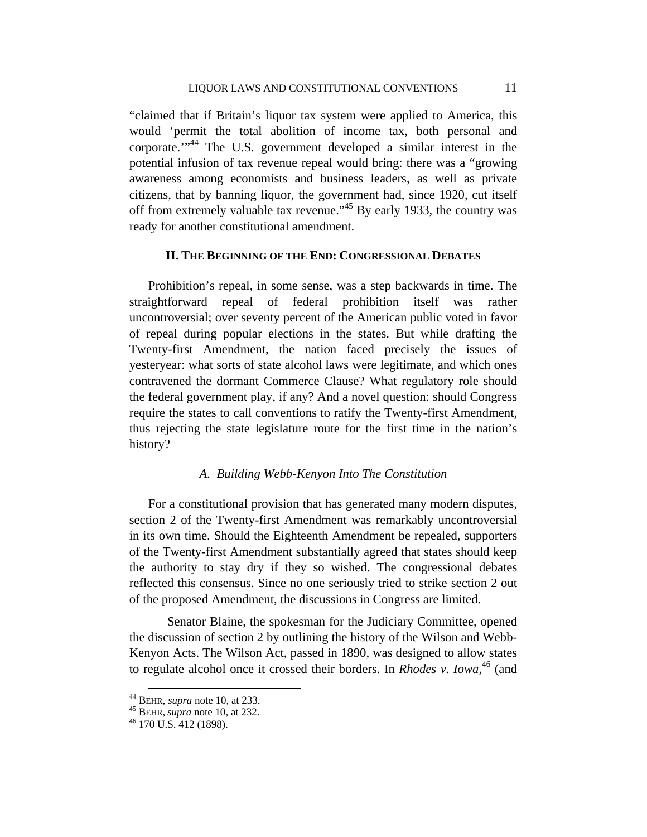"claimed that if Britain's liquor tax system were applied to America, this would 'permit the total abolition of income tax, both personal and corporate."<sup>44</sup> The U.S. government developed a similar interest in the potential infusion of tax revenue repeal would bring: there was a "growing awareness among economists and business leaders, as well as private citizens, that by banning liquor, the government had, since 1920, cut itself off from extremely valuable tax revenue.<sup> $345$ </sup> By early 1933, the country was ready for another constitutional amendment.

# **II. THE BEGINNING OF THE END: CONGRESSIONAL DEBATES**

Prohibition's repeal, in some sense, was a step backwards in time. The straightforward repeal of federal prohibition itself was rather uncontroversial; over seventy percent of the American public voted in favor of repeal during popular elections in the states. But while drafting the Twenty-first Amendment, the nation faced precisely the issues of yesteryear: what sorts of state alcohol laws were legitimate, and which ones contravened the dormant Commerce Clause? What regulatory role should the federal government play, if any? And a novel question: should Congress require the states to call conventions to ratify the Twenty-first Amendment, thus rejecting the state legislature route for the first time in the nation's history?

#### *A. Building Webb-Kenyon Into The Constitution*

For a constitutional provision that has generated many modern disputes, section 2 of the Twenty-first Amendment was remarkably uncontroversial in its own time. Should the Eighteenth Amendment be repealed, supporters of the Twenty-first Amendment substantially agreed that states should keep the authority to stay dry if they so wished. The congressional debates reflected this consensus. Since no one seriously tried to strike section 2 out of the proposed Amendment, the discussions in Congress are limited.

 Senator Blaine, the spokesman for the Judiciary Committee, opened the discussion of section 2 by outlining the history of the Wilson and Webb-Kenyon Acts. The Wilson Act, passed in 1890, was designed to allow states to regulate alcohol once it crossed their borders. In *Rhodes v. Iowa*, 46 (and

 <sup>44</sup> BEHR, *supra* note 10, at 233. 45 BEHR, *supra* note 10, at 232. 46 170 U.S. 412 (1898).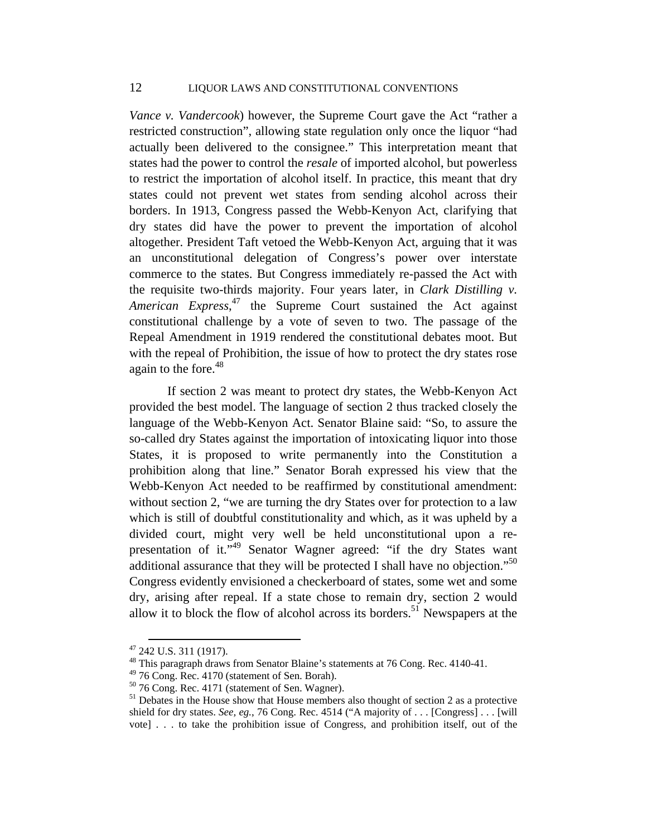*Vance v. Vandercook*) however, the Supreme Court gave the Act "rather a restricted construction", allowing state regulation only once the liquor "had actually been delivered to the consignee." This interpretation meant that states had the power to control the *resale* of imported alcohol, but powerless to restrict the importation of alcohol itself. In practice, this meant that dry states could not prevent wet states from sending alcohol across their borders. In 1913, Congress passed the Webb-Kenyon Act, clarifying that dry states did have the power to prevent the importation of alcohol altogether. President Taft vetoed the Webb-Kenyon Act, arguing that it was an unconstitutional delegation of Congress's power over interstate commerce to the states. But Congress immediately re-passed the Act with the requisite two-thirds majority. Four years later, in *Clark Distilling v. American Express*, 47 the Supreme Court sustained the Act against constitutional challenge by a vote of seven to two. The passage of the Repeal Amendment in 1919 rendered the constitutional debates moot. But with the repeal of Prohibition, the issue of how to protect the dry states rose again to the fore.<sup>48</sup>

If section 2 was meant to protect dry states, the Webb-Kenyon Act provided the best model. The language of section 2 thus tracked closely the language of the Webb-Kenyon Act. Senator Blaine said: "So, to assure the so-called dry States against the importation of intoxicating liquor into those States, it is proposed to write permanently into the Constitution a prohibition along that line." Senator Borah expressed his view that the Webb-Kenyon Act needed to be reaffirmed by constitutional amendment: without section 2, "we are turning the dry States over for protection to a law which is still of doubtful constitutionality and which, as it was upheld by a divided court, might very well be held unconstitutional upon a representation of it."<sup>49</sup> Senator Wagner agreed: "if the dry States want additional assurance that they will be protected I shall have no objection."<sup>50</sup> Congress evidently envisioned a checkerboard of states, some wet and some dry, arising after repeal. If a state chose to remain dry, section 2 would allow it to block the flow of alcohol across its borders.<sup>51</sup> Newspapers at the

 <sup>47 242</sup> U.S. 311 (1917).

<sup>48</sup> This paragraph draws from Senator Blaine's statements at 76 Cong. Rec. 4140-41.

 $49$  76 Cong. Rec. 4170 (statement of Sen. Borah).

<sup>50 76</sup> Cong. Rec. 4171 (statement of Sen. Wagner).

 $<sup>51</sup>$  Debates in the House show that House members also thought of section 2 as a protective</sup> shield for dry states. *See, eg.*, 76 Cong. Rec. 4514 ("A majority of . . . [Congress] . . . [will vote] . . . to take the prohibition issue of Congress, and prohibition itself, out of the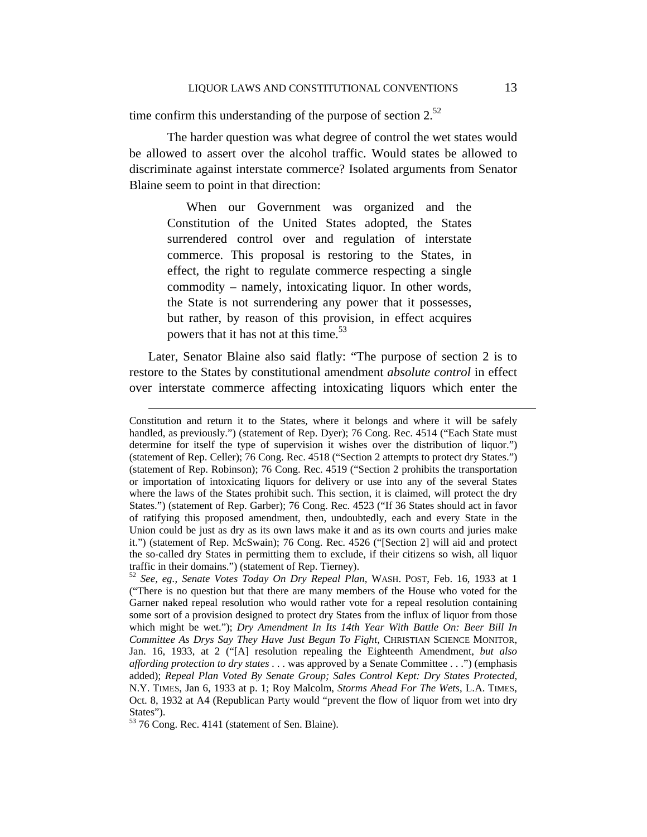time confirm this understanding of the purpose of section  $2^{52}$ 

 The harder question was what degree of control the wet states would be allowed to assert over the alcohol traffic. Would states be allowed to discriminate against interstate commerce? Isolated arguments from Senator Blaine seem to point in that direction:

When our Government was organized and the Constitution of the United States adopted, the States surrendered control over and regulation of interstate commerce. This proposal is restoring to the States, in effect, the right to regulate commerce respecting a single commodity – namely, intoxicating liquor. In other words, the State is not surrendering any power that it possesses, but rather, by reason of this provision, in effect acquires powers that it has not at this time.<sup>53</sup>

Later, Senator Blaine also said flatly: "The purpose of section 2 is to restore to the States by constitutional amendment *absolute control* in effect over interstate commerce affecting intoxicating liquors which enter the

Constitution and return it to the States, where it belongs and where it will be safely handled, as previously.") (statement of Rep. Dyer); 76 Cong. Rec. 4514 ("Each State must determine for itself the type of supervision it wishes over the distribution of liquor.") (statement of Rep. Celler); 76 Cong. Rec. 4518 ("Section 2 attempts to protect dry States.") (statement of Rep. Robinson); 76 Cong. Rec. 4519 ("Section 2 prohibits the transportation or importation of intoxicating liquors for delivery or use into any of the several States where the laws of the States prohibit such. This section, it is claimed, will protect the dry States.") (statement of Rep. Garber); 76 Cong. Rec. 4523 ("If 36 States should act in favor of ratifying this proposed amendment, then, undoubtedly, each and every State in the Union could be just as dry as its own laws make it and as its own courts and juries make it.") (statement of Rep. McSwain); 76 Cong. Rec. 4526 ("[Section 2] will aid and protect the so-called dry States in permitting them to exclude, if their citizens so wish, all liquor traffic in their domains.") (statement of Rep. Tierney).

<sup>52</sup> *See, eg.*, *Senate Votes Today On Dry Repeal Plan*, WASH. POST, Feb. 16, 1933 at 1 ("There is no question but that there are many members of the House who voted for the Garner naked repeal resolution who would rather vote for a repeal resolution containing some sort of a provision designed to protect dry States from the influx of liquor from those which might be wet."); *Dry Amendment In Its 14th Year With Battle On: Beer Bill In Committee As Drys Say They Have Just Begun To Fight*, CHRISTIAN SCIENCE MONITOR, Jan. 16, 1933, at 2 ("[A] resolution repealing the Eighteenth Amendment, *but also affording protection to dry states ...* was approved by a Senate Committee ...") (emphasis added); *Repeal Plan Voted By Senate Group; Sales Control Kept: Dry States Protected*, N.Y. TIMES, Jan 6, 1933 at p. 1; Roy Malcolm, *Storms Ahead For The Wets*, L.A. TIMES, Oct. 8, 1932 at A4 (Republican Party would "prevent the flow of liquor from wet into dry States").

 $53$  76 Cong. Rec. 4141 (statement of Sen. Blaine).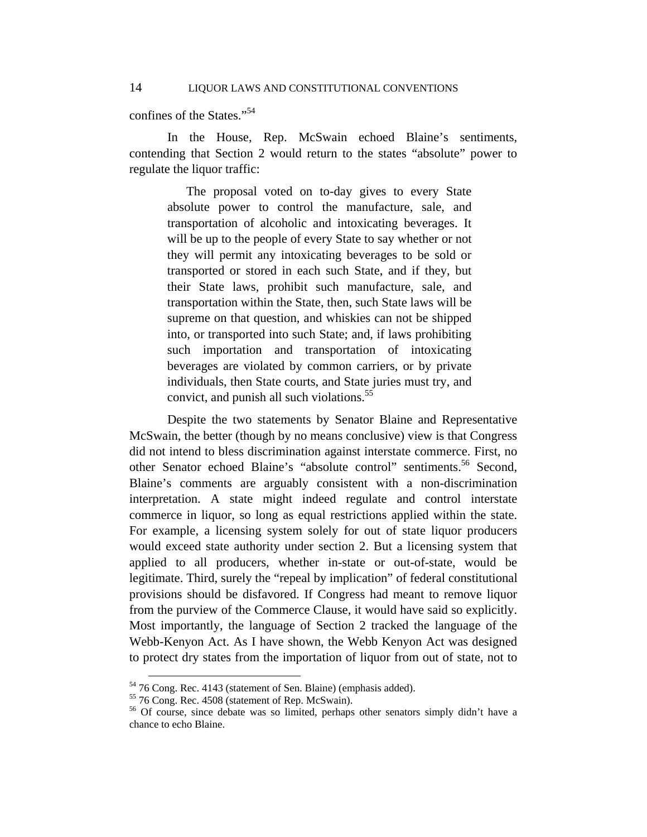confines of the States."<sup>54</sup>

 In the House, Rep. McSwain echoed Blaine's sentiments, contending that Section 2 would return to the states "absolute" power to regulate the liquor traffic:

The proposal voted on to-day gives to every State absolute power to control the manufacture, sale, and transportation of alcoholic and intoxicating beverages. It will be up to the people of every State to say whether or not they will permit any intoxicating beverages to be sold or transported or stored in each such State, and if they, but their State laws, prohibit such manufacture, sale, and transportation within the State, then, such State laws will be supreme on that question, and whiskies can not be shipped into, or transported into such State; and, if laws prohibiting such importation and transportation of intoxicating beverages are violated by common carriers, or by private individuals, then State courts, and State juries must try, and convict, and punish all such violations.<sup>55</sup>

 Despite the two statements by Senator Blaine and Representative McSwain, the better (though by no means conclusive) view is that Congress did not intend to bless discrimination against interstate commerce. First, no other Senator echoed Blaine's "absolute control" sentiments.<sup>56</sup> Second, Blaine's comments are arguably consistent with a non-discrimination interpretation. A state might indeed regulate and control interstate commerce in liquor, so long as equal restrictions applied within the state. For example, a licensing system solely for out of state liquor producers would exceed state authority under section 2. But a licensing system that applied to all producers, whether in-state or out-of-state, would be legitimate. Third, surely the "repeal by implication" of federal constitutional provisions should be disfavored. If Congress had meant to remove liquor from the purview of the Commerce Clause, it would have said so explicitly. Most importantly, the language of Section 2 tracked the language of the Webb-Kenyon Act. As I have shown, the Webb Kenyon Act was designed to protect dry states from the importation of liquor from out of state, not to

 <sup>54 76</sup> Cong. Rec. 4143 (statement of Sen. Blaine) (emphasis added).

<sup>55 76</sup> Cong. Rec. 4508 (statement of Rep. McSwain).

<sup>&</sup>lt;sup>56</sup> Of course, since debate was so limited, perhaps other senators simply didn't have a chance to echo Blaine.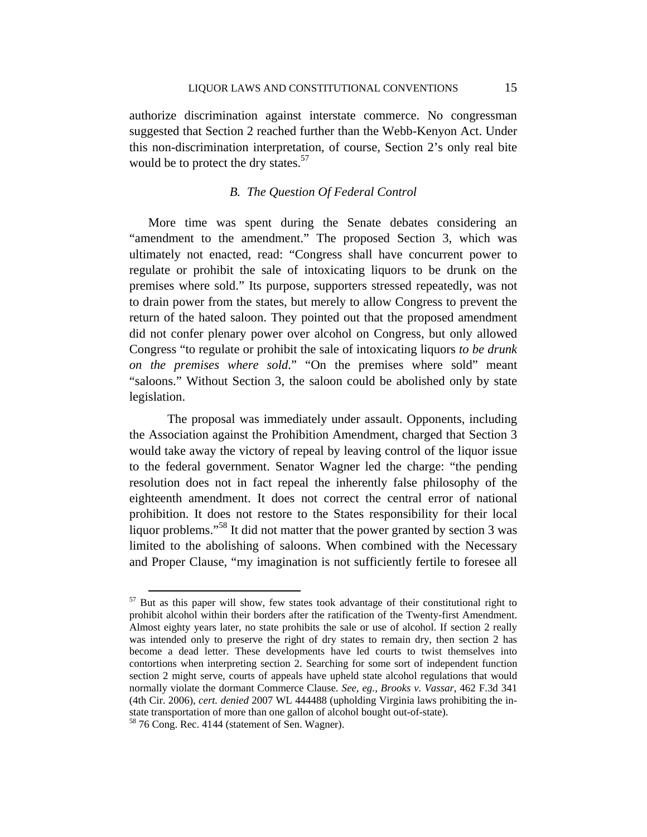authorize discrimination against interstate commerce. No congressman suggested that Section 2 reached further than the Webb-Kenyon Act. Under this non-discrimination interpretation, of course, Section 2's only real bite would be to protect the dry states.<sup>57</sup>

# *B. The Question Of Federal Control*

More time was spent during the Senate debates considering an "amendment to the amendment." The proposed Section 3, which was ultimately not enacted, read: "Congress shall have concurrent power to regulate or prohibit the sale of intoxicating liquors to be drunk on the premises where sold." Its purpose, supporters stressed repeatedly, was not to drain power from the states, but merely to allow Congress to prevent the return of the hated saloon. They pointed out that the proposed amendment did not confer plenary power over alcohol on Congress, but only allowed Congress "to regulate or prohibit the sale of intoxicating liquors *to be drunk on the premises where sold*." "On the premises where sold" meant "saloons." Without Section 3, the saloon could be abolished only by state legislation.

 The proposal was immediately under assault. Opponents, including the Association against the Prohibition Amendment, charged that Section 3 would take away the victory of repeal by leaving control of the liquor issue to the federal government. Senator Wagner led the charge: "the pending resolution does not in fact repeal the inherently false philosophy of the eighteenth amendment. It does not correct the central error of national prohibition. It does not restore to the States responsibility for their local liquor problems."<sup>58</sup> It did not matter that the power granted by section 3 was limited to the abolishing of saloons. When combined with the Necessary and Proper Clause, "my imagination is not sufficiently fertile to foresee all

 $57$  But as this paper will show, few states took advantage of their constitutional right to prohibit alcohol within their borders after the ratification of the Twenty-first Amendment. Almost eighty years later, no state prohibits the sale or use of alcohol. If section 2 really was intended only to preserve the right of dry states to remain dry, then section 2 has become a dead letter. These developments have led courts to twist themselves into contortions when interpreting section 2. Searching for some sort of independent function section 2 might serve, courts of appeals have upheld state alcohol regulations that would normally violate the dormant Commerce Clause. *See, eg.*, *Brooks v. Vassar*, 462 F.3d 341 (4th Cir. 2006), *cert. denied* 2007 WL 444488 (upholding Virginia laws prohibiting the instate transportation of more than one gallon of alcohol bought out-of-state).<br><sup>58</sup> 76 Cong. Rec. 4144 (statement of Sen. Wagner).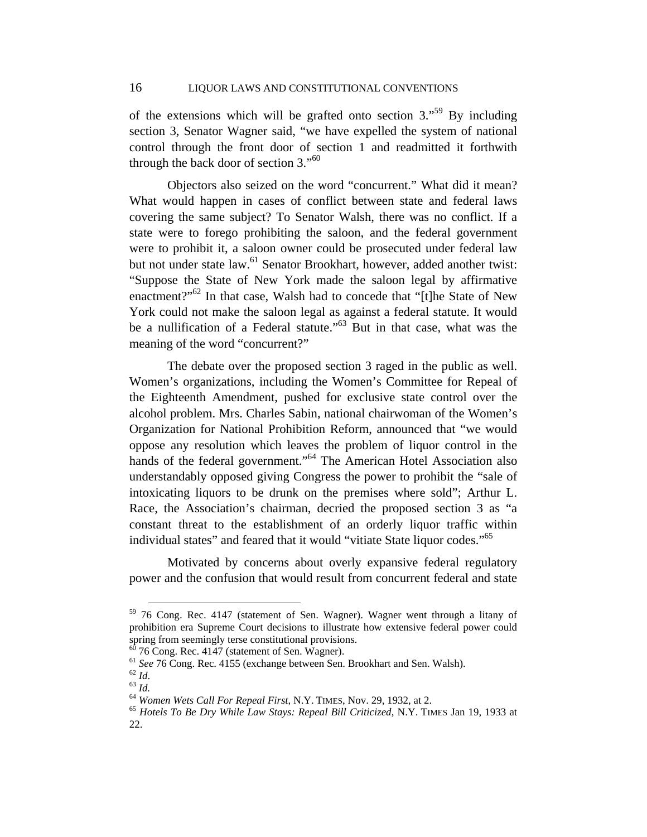of the extensions which will be grafted onto section  $3.^{59}$  By including section 3, Senator Wagner said, "we have expelled the system of national control through the front door of section 1 and readmitted it forthwith through the back door of section  $3.^{60}$ 

 Objectors also seized on the word "concurrent." What did it mean? What would happen in cases of conflict between state and federal laws covering the same subject? To Senator Walsh, there was no conflict. If a state were to forego prohibiting the saloon, and the federal government were to prohibit it, a saloon owner could be prosecuted under federal law but not under state law.<sup>61</sup> Senator Brookhart, however, added another twist: "Suppose the State of New York made the saloon legal by affirmative enactment?"62 In that case, Walsh had to concede that "[t]he State of New York could not make the saloon legal as against a federal statute. It would be a nullification of a Federal statute."<sup>63</sup> But in that case, what was the meaning of the word "concurrent?"

 The debate over the proposed section 3 raged in the public as well. Women's organizations, including the Women's Committee for Repeal of the Eighteenth Amendment, pushed for exclusive state control over the alcohol problem. Mrs. Charles Sabin, national chairwoman of the Women's Organization for National Prohibition Reform, announced that "we would oppose any resolution which leaves the problem of liquor control in the hands of the federal government."<sup>64</sup> The American Hotel Association also understandably opposed giving Congress the power to prohibit the "sale of intoxicating liquors to be drunk on the premises where sold"; Arthur L. Race, the Association's chairman, decried the proposed section 3 as "a constant threat to the establishment of an orderly liquor traffic within individual states" and feared that it would "vitiate State liquor codes."<sup>65</sup>

 Motivated by concerns about overly expansive federal regulatory power and the confusion that would result from concurrent federal and state

 $59$  76 Cong. Rec. 4147 (statement of Sen. Wagner). Wagner went through a litany of prohibition era Supreme Court decisions to illustrate how extensive federal power could spring from seemingly terse constitutional provisions.

 $60$  76 Cong. Rec. 4147 (statement of Sen. Wagner).

<sup>&</sup>lt;sup>61</sup> See 76 Cong. Rec. 4155 (exchange between Sen. Brookhart and Sen. Walsh).<br><sup>62</sup> Id.<br><sup>63</sup> Id.<br><sup>64</sup> Women Wets Call For Repeal First, N.Y. TIMES, Nov. 29, 1932, at 2.<br><sup>65</sup> Hotels To Be Dry While Law Stays: Repeal Bill Cr

<sup>22.</sup>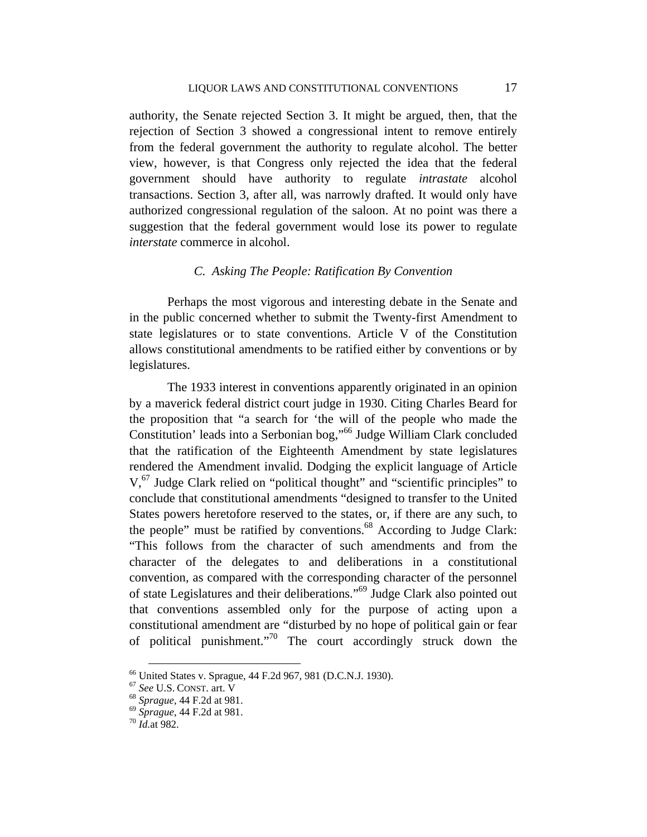authority, the Senate rejected Section 3. It might be argued, then, that the rejection of Section 3 showed a congressional intent to remove entirely from the federal government the authority to regulate alcohol. The better view, however, is that Congress only rejected the idea that the federal government should have authority to regulate *intrastate* alcohol transactions. Section 3, after all, was narrowly drafted. It would only have authorized congressional regulation of the saloon. At no point was there a suggestion that the federal government would lose its power to regulate *interstate* commerce in alcohol.

## *C. Asking The People: Ratification By Convention*

Perhaps the most vigorous and interesting debate in the Senate and in the public concerned whether to submit the Twenty-first Amendment to state legislatures or to state conventions. Article V of the Constitution allows constitutional amendments to be ratified either by conventions or by legislatures.

The 1933 interest in conventions apparently originated in an opinion by a maverick federal district court judge in 1930. Citing Charles Beard for the proposition that "a search for 'the will of the people who made the Constitution' leads into a Serbonian bog,"<sup>66</sup> Judge William Clark concluded that the ratification of the Eighteenth Amendment by state legislatures rendered the Amendment invalid. Dodging the explicit language of Article  $V<sub>1</sub><sup>67</sup>$  Judge Clark relied on "political thought" and "scientific principles" to conclude that constitutional amendments "designed to transfer to the United States powers heretofore reserved to the states, or, if there are any such, to the people" must be ratified by conventions. $68$  According to Judge Clark: "This follows from the character of such amendments and from the character of the delegates to and deliberations in a constitutional convention, as compared with the corresponding character of the personnel of state Legislatures and their deliberations."69 Judge Clark also pointed out that conventions assembled only for the purpose of acting upon a constitutional amendment are "disturbed by no hope of political gain or fear of political punishment."70 The court accordingly struck down the

 $^{66}$  United States v. Sprague, 44 F.2d 967, 981 (D.C.N.J. 1930).<br> $^{67}$  See U.S. CONST. art. V

<sup>&</sup>lt;sup>68</sup> Sprague, 44 F.2d at 981.<br><sup>69</sup> Sprague, 44 F.2d at 981.<br><sup>70</sup> *Id.*at 982.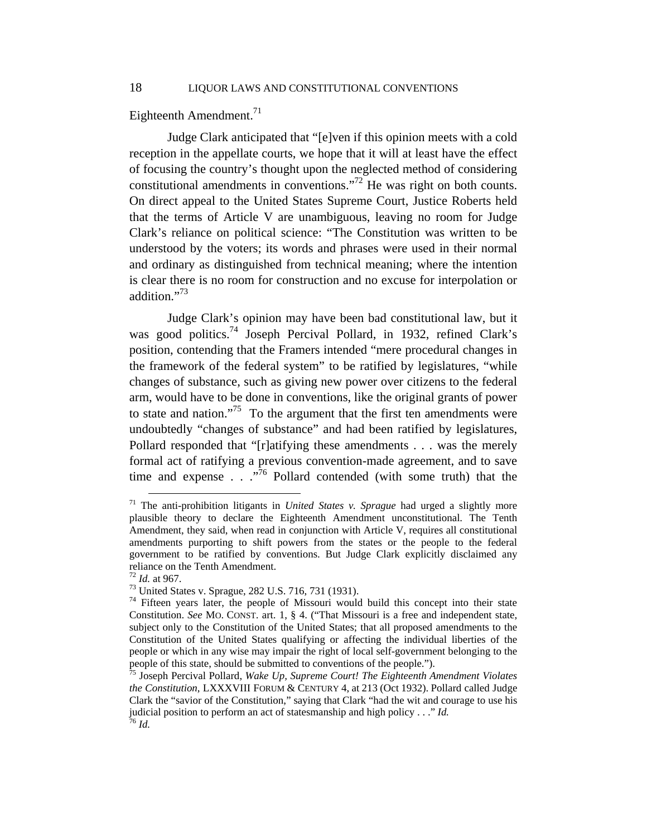Eighteenth Amendment.<sup>71</sup>

Judge Clark anticipated that "[e]ven if this opinion meets with a cold reception in the appellate courts, we hope that it will at least have the effect of focusing the country's thought upon the neglected method of considering constitutional amendments in conventions."72 He was right on both counts. On direct appeal to the United States Supreme Court, Justice Roberts held that the terms of Article V are unambiguous, leaving no room for Judge Clark's reliance on political science: "The Constitution was written to be understood by the voters; its words and phrases were used in their normal and ordinary as distinguished from technical meaning; where the intention is clear there is no room for construction and no excuse for interpolation or addition."<sup>73</sup>

Judge Clark's opinion may have been bad constitutional law, but it was good politics.<sup>74</sup> Joseph Percival Pollard, in 1932, refined Clark's position, contending that the Framers intended "mere procedural changes in the framework of the federal system" to be ratified by legislatures, "while changes of substance, such as giving new power over citizens to the federal arm, would have to be done in conventions, like the original grants of power to state and nation."<sup>75</sup> To the argument that the first ten amendments were undoubtedly "changes of substance" and had been ratified by legislatures, Pollard responded that "[r]atifying these amendments . . . was the merely formal act of ratifying a previous convention-made agreement, and to save time and expense  $\ldots$   $\ldots$   $\frac{1}{76}$  Pollard contended (with some truth) that the

 <sup>71</sup> The anti-prohibition litigants in *United States v. Sprague* had urged a slightly more plausible theory to declare the Eighteenth Amendment unconstitutional. The Tenth Amendment, they said, when read in conjunction with Article V, requires all constitutional amendments purporting to shift powers from the states or the people to the federal government to be ratified by conventions. But Judge Clark explicitly disclaimed any reliance on the Tenth Amendment.

<sup>&</sup>lt;sup>72</sup> *Id.* at 967.<br><sup>73</sup> United States v. Sprague, 282 U.S. 716, 731 (1931).

 $74$  Fifteen years later, the people of Missouri would build this concept into their state Constitution. *See* MO. CONST. art. 1, § 4. ("That Missouri is a free and independent state, subject only to the Constitution of the United States; that all proposed amendments to the Constitution of the United States qualifying or affecting the individual liberties of the people or which in any wise may impair the right of local self-government belonging to the people of this state, should be submitted to conventions of the people.").

<sup>75</sup> Joseph Percival Pollard, *Wake Up, Supreme Court! The Eighteenth Amendment Violates the Constitution*, LXXXVIII FORUM & CENTURY 4, at 213 (Oct 1932). Pollard called Judge Clark the "savior of the Constitution," saying that Clark "had the wit and courage to use his judicial position to perform an act of statesmanship and high policy . . ." *Id.* <sup>76</sup> *Id.*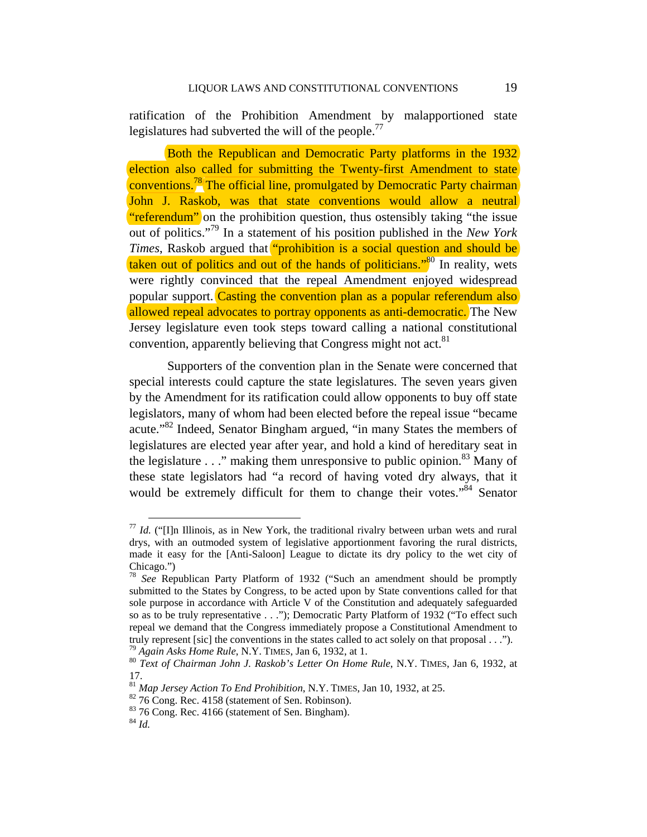ratification of the Prohibition Amendment by malapportioned state legislatures had subverted the will of the people.<sup>77</sup>

Both the Republican and Democratic Party platforms in the 1932 election also called for submitting the Twenty-first Amendment to state conventions.<sup>78</sup> The official line, promulgated by Democratic Party chairman John J. Raskob, was that state conventions would allow a neutral "referendum" on the prohibition question, thus ostensibly taking "the issue out of politics."79 In a statement of his position published in the *New York Times*, Raskob argued that **"prohibition is a social question and should be** taken out of politics and out of the hands of politicians."<sup>80</sup> In reality, wets were rightly convinced that the repeal Amendment enjoyed widespread popular support. Casting the convention plan as a popular referendum also allowed repeal advocates to portray opponents as anti-democratic. The New Jersey legislature even took steps toward calling a national constitutional convention, apparently believing that Congress might not act.<sup>81</sup>

Supporters of the convention plan in the Senate were concerned that special interests could capture the state legislatures. The seven years given by the Amendment for its ratification could allow opponents to buy off state legislators, many of whom had been elected before the repeal issue "became acute."82 Indeed, Senator Bingham argued, "in many States the members of legislatures are elected year after year, and hold a kind of hereditary seat in the legislature  $\ldots$ " making them unresponsive to public opinion.<sup>83</sup> Many of these state legislators had "a record of having voted dry always, that it would be extremely difficult for them to change their votes. $^{8,84}$  Senator

 $177$  *Id.* ("IIn Illinois, as in New York, the traditional rivalry between urban wets and rural drys, with an outmoded system of legislative apportionment favoring the rural districts, made it easy for the [Anti-Saloon] League to dictate its dry policy to the wet city of Chicago.")

<sup>78</sup> *See* Republican Party Platform of 1932 ("Such an amendment should be promptly submitted to the States by Congress, to be acted upon by State conventions called for that sole purpose in accordance with Article V of the Constitution and adequately safeguarded so as to be truly representative . . ."); Democratic Party Platform of 1932 ("To effect such repeal we demand that the Congress immediately propose a Constitutional Amendment to truly represent [sic] the conventions in the states called to act solely on that proposal . . .").<br><sup>79</sup> Again Asks Home Rule, N.Y. TIMES, Jan 6, 1932, at 1.<br><sup>80</sup> Text of Chairman John J. Raskob's Letter On Home Rule, N.Y.

<sup>17.</sup> 

<sup>&</sup>lt;sup>81</sup> *Map Jersey Action To End Prohibition*, N.Y. TIMES, Jan 10, 1932, at 25. <sup>82</sup> 76 Cong. Rec. 4158 (statement of Sen. Robinson).

<sup>&</sup>lt;sup>83</sup> 76 Cong. Rec. 4166 (statement of Sen. Bingham).

<sup>84</sup> *Id.*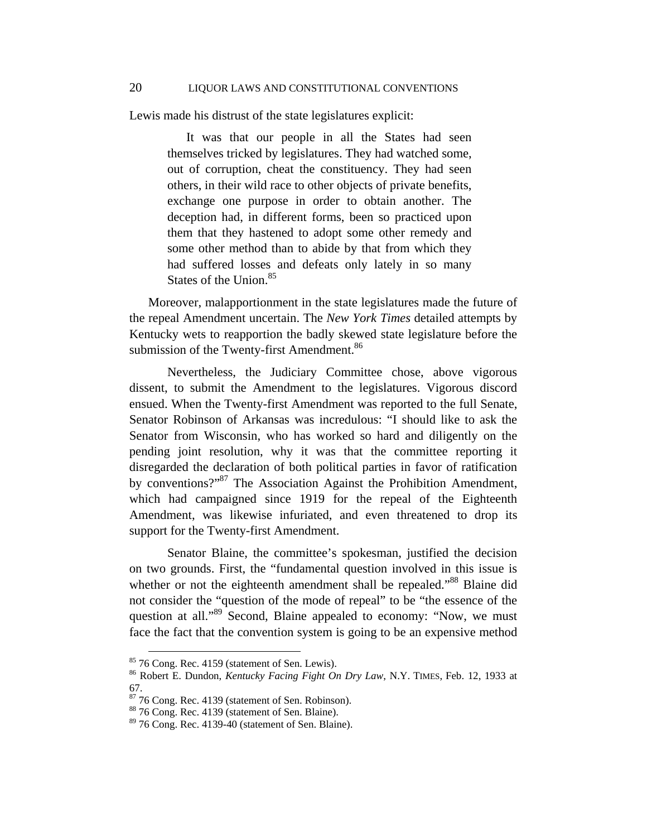Lewis made his distrust of the state legislatures explicit:

It was that our people in all the States had seen themselves tricked by legislatures. They had watched some, out of corruption, cheat the constituency. They had seen others, in their wild race to other objects of private benefits, exchange one purpose in order to obtain another. The deception had, in different forms, been so practiced upon them that they hastened to adopt some other remedy and some other method than to abide by that from which they had suffered losses and defeats only lately in so many States of the Union.<sup>85</sup>

Moreover, malapportionment in the state legislatures made the future of the repeal Amendment uncertain. The *New York Times* detailed attempts by Kentucky wets to reapportion the badly skewed state legislature before the submission of the Twenty-first Amendment.<sup>86</sup>

Nevertheless, the Judiciary Committee chose, above vigorous dissent, to submit the Amendment to the legislatures. Vigorous discord ensued. When the Twenty-first Amendment was reported to the full Senate, Senator Robinson of Arkansas was incredulous: "I should like to ask the Senator from Wisconsin, who has worked so hard and diligently on the pending joint resolution, why it was that the committee reporting it disregarded the declaration of both political parties in favor of ratification by conventions?"87 The Association Against the Prohibition Amendment, which had campaigned since 1919 for the repeal of the Eighteenth Amendment, was likewise infuriated, and even threatened to drop its support for the Twenty-first Amendment.

Senator Blaine, the committee's spokesman, justified the decision on two grounds. First, the "fundamental question involved in this issue is whether or not the eighteenth amendment shall be repealed."<sup>88</sup> Blaine did not consider the "question of the mode of repeal" to be "the essence of the question at all."<sup>89</sup> Second, Blaine appealed to economy: "Now, we must face the fact that the convention system is going to be an expensive method

 $85$  76 Cong. Rec. 4159 (statement of Sen. Lewis).

<sup>86</sup> Robert E. Dundon, *Kentucky Facing Fight On Dry Law*, N.Y. TIMES, Feb. 12, 1933 at 67.

 $87$  76 Cong. Rec. 4139 (statement of Sen. Robinson).

<sup>88 76</sup> Cong. Rec. 4139 (statement of Sen. Blaine).

 $89$  76 Cong. Rec. 4139-40 (statement of Sen. Blaine).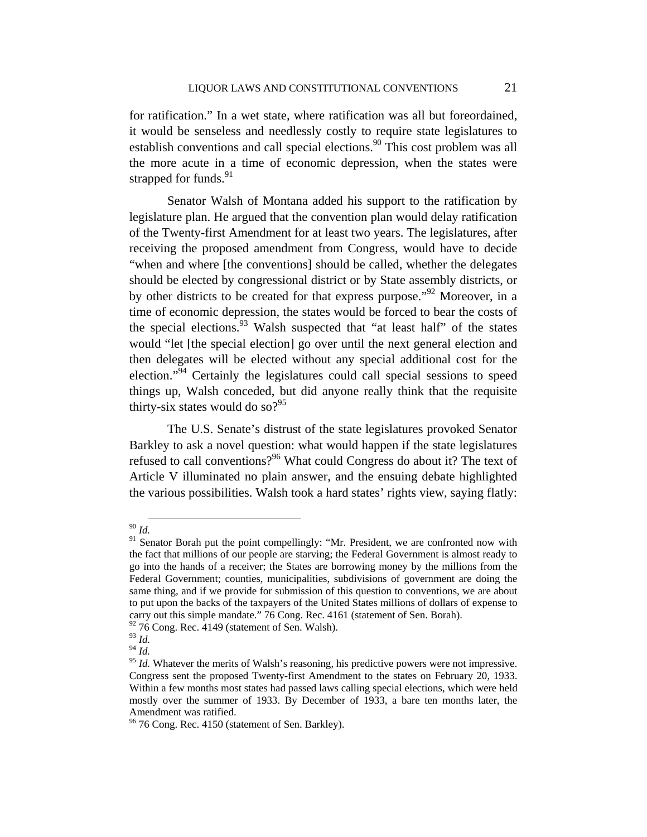for ratification." In a wet state, where ratification was all but foreordained, it would be senseless and needlessly costly to require state legislatures to establish conventions and call special elections.<sup>90</sup> This cost problem was all the more acute in a time of economic depression, when the states were strapped for funds.<sup>91</sup>

Senator Walsh of Montana added his support to the ratification by legislature plan. He argued that the convention plan would delay ratification of the Twenty-first Amendment for at least two years. The legislatures, after receiving the proposed amendment from Congress, would have to decide "when and where [the conventions] should be called, whether the delegates should be elected by congressional district or by State assembly districts, or by other districts to be created for that express purpose."<sup>92</sup> Moreover, in a time of economic depression, the states would be forced to bear the costs of the special elections.<sup>93</sup> Walsh suspected that "at least half" of the states would "let [the special election] go over until the next general election and then delegates will be elected without any special additional cost for the election."94 Certainly the legislatures could call special sessions to speed things up, Walsh conceded, but did anyone really think that the requisite thirty-six states would do so? $95$ 

The U.S. Senate's distrust of the state legislatures provoked Senator Barkley to ask a novel question: what would happen if the state legislatures refused to call conventions?<sup>96</sup> What could Congress do about it? The text of Article V illuminated no plain answer, and the ensuing debate highlighted the various possibilities. Walsh took a hard states' rights view, saying flatly:

 <sup>90</sup> *Id.* 

 $91$  Senator Borah put the point compellingly: "Mr. President, we are confronted now with the fact that millions of our people are starving; the Federal Government is almost ready to go into the hands of a receiver; the States are borrowing money by the millions from the Federal Government; counties, municipalities, subdivisions of government are doing the same thing, and if we provide for submission of this question to conventions, we are about to put upon the backs of the taxpayers of the United States millions of dollars of expense to carry out this simple mandate." 76 Cong. Rec. 4161 (statement of Sen. Borah).

 $92$  76 Cong. Rec. 4149 (statement of Sen. Walsh).

<sup>93</sup> *Id.*

 $^{94}$  *Id.* 

<sup>&</sup>lt;sup>95</sup> *Id.* Whatever the merits of Walsh's reasoning, his predictive powers were not impressive. Congress sent the proposed Twenty-first Amendment to the states on February 20, 1933. Within a few months most states had passed laws calling special elections, which were held mostly over the summer of 1933. By December of 1933, a bare ten months later, the Amendment was ratified.

<sup>&</sup>lt;sup>96</sup> 76 Cong. Rec. 4150 (statement of Sen. Barkley).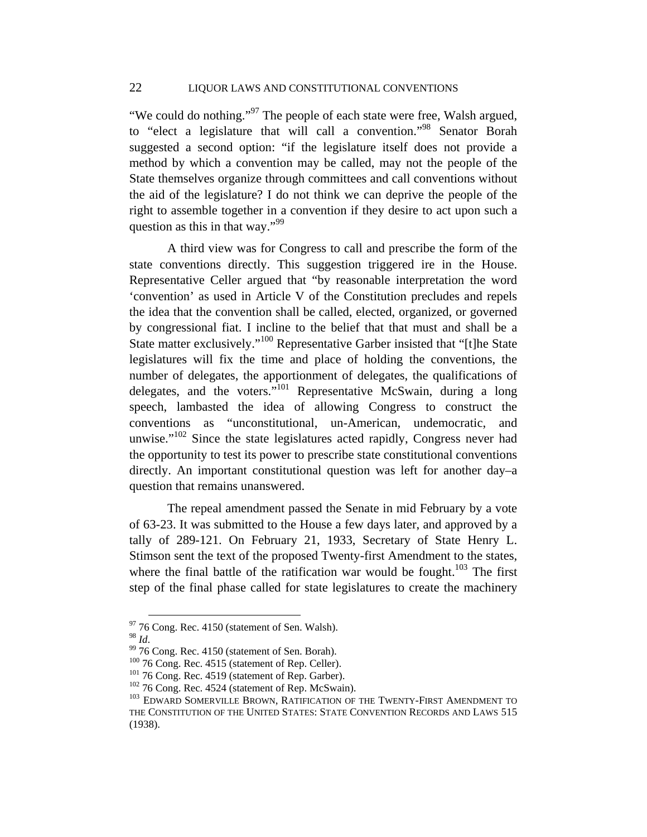"We could do nothing."<sup>97</sup> The people of each state were free, Walsh argued, to "elect a legislature that will call a convention."98 Senator Borah suggested a second option: "if the legislature itself does not provide a method by which a convention may be called, may not the people of the State themselves organize through committees and call conventions without the aid of the legislature? I do not think we can deprive the people of the right to assemble together in a convention if they desire to act upon such a question as this in that way." $99$ 

A third view was for Congress to call and prescribe the form of the state conventions directly. This suggestion triggered ire in the House. Representative Celler argued that "by reasonable interpretation the word 'convention' as used in Article V of the Constitution precludes and repels the idea that the convention shall be called, elected, organized, or governed by congressional fiat. I incline to the belief that that must and shall be a State matter exclusively."100 Representative Garber insisted that "[t]he State legislatures will fix the time and place of holding the conventions, the number of delegates, the apportionment of delegates, the qualifications of delegates, and the voters."<sup>101</sup> Representative McSwain, during a long speech, lambasted the idea of allowing Congress to construct the conventions as "unconstitutional, un-American, undemocratic, and unwise."<sup>102</sup> Since the state legislatures acted rapidly, Congress never had the opportunity to test its power to prescribe state constitutional conventions directly. An important constitutional question was left for another day–a question that remains unanswered.

The repeal amendment passed the Senate in mid February by a vote of 63-23. It was submitted to the House a few days later, and approved by a tally of 289-121. On February 21, 1933, Secretary of State Henry L. Stimson sent the text of the proposed Twenty-first Amendment to the states, where the final battle of the ratification war would be fought.<sup>103</sup> The first step of the final phase called for state legislatures to create the machinery

 $^{97}$  76 Cong. Rec. 4150 (statement of Sen. Walsh).  $^{98}$  *M*.

<sup>&</sup>lt;sup>99</sup> 76 Cong. Rec. 4150 (statement of Sen. Borah).<br><sup>100</sup> 76 Cong. Rec. 4515 (statement of Rep. Celler).

 $^{101}$  76 Cong. Rec. 4519 (statement of Rep. Garber).<br> $^{102}$  76 Cong. Rec. 4524 (statement of Rep. McSwain).<br> $^{102}$  EDWARD SOMERVILLE BROWN, RATIFICATION OF THE TWENTY-FIRST AMENDMENT TO THE CONSTITUTION OF THE UNITED STATES: STATE CONVENTION RECORDS AND LAWS 515 (1938).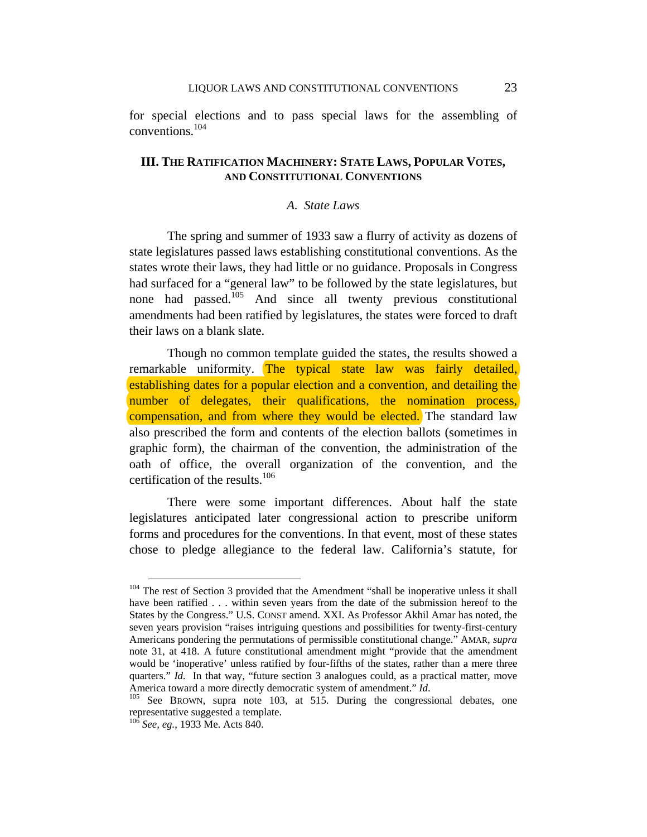for special elections and to pass special laws for the assembling of conventions.104

# **III. THE RATIFICATION MACHINERY: STATE LAWS, POPULAR VOTES, AND CONSTITUTIONAL CONVENTIONS**

### *A. State Laws*

The spring and summer of 1933 saw a flurry of activity as dozens of state legislatures passed laws establishing constitutional conventions. As the states wrote their laws, they had little or no guidance. Proposals in Congress had surfaced for a "general law" to be followed by the state legislatures, but none had passed.105 And since all twenty previous constitutional amendments had been ratified by legislatures, the states were forced to draft their laws on a blank slate.

Though no common template guided the states, the results showed a remarkable uniformity. The typical state law was fairly detailed, establishing dates for a popular election and a convention, and detailing the number of delegates, their qualifications, the nomination process, compensation, and from where they would be elected. The standard law also prescribed the form and contents of the election ballots (sometimes in graphic form), the chairman of the convention, the administration of the oath of office, the overall organization of the convention, and the certification of the results.<sup>106</sup>

There were some important differences. About half the state legislatures anticipated later congressional action to prescribe uniform forms and procedures for the conventions. In that event, most of these states chose to pledge allegiance to the federal law. California's statute, for

<sup>&</sup>lt;sup>104</sup> The rest of Section 3 provided that the Amendment "shall be inoperative unless it shall have been ratified . . . within seven years from the date of the submission hereof to the States by the Congress." U.S. CONST amend. XXI. As Professor Akhil Amar has noted, the seven years provision "raises intriguing questions and possibilities for twenty-first-century Americans pondering the permutations of permissible constitutional change." AMAR, *supra*  note 31, at 418. A future constitutional amendment might "provide that the amendment would be 'inoperative' unless ratified by four-fifths of the states, rather than a mere three quarters." *Id.* In that way, "future section 3 analogues could, as a practical matter, move America toward a more directly democratic system of amendment." *Id*. <sup>105</sup> See BROWN, supra note 103, at 515. During the congressional debates, one

representative suggested a template.

<sup>106</sup> *See, eg.*, 1933 Me. Acts 840.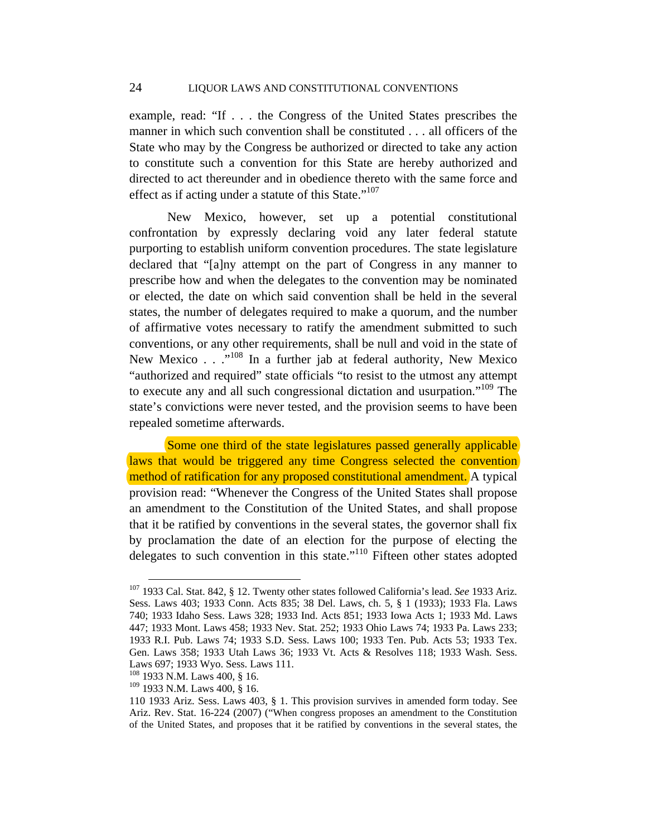example, read: "If . . . the Congress of the United States prescribes the manner in which such convention shall be constituted . . . all officers of the State who may by the Congress be authorized or directed to take any action to constitute such a convention for this State are hereby authorized and directed to act thereunder and in obedience thereto with the same force and effect as if acting under a statute of this State."<sup>107</sup>

New Mexico, however, set up a potential constitutional confrontation by expressly declaring void any later federal statute purporting to establish uniform convention procedures. The state legislature declared that "[a]ny attempt on the part of Congress in any manner to prescribe how and when the delegates to the convention may be nominated or elected, the date on which said convention shall be held in the several states, the number of delegates required to make a quorum, and the number of affirmative votes necessary to ratify the amendment submitted to such conventions, or any other requirements, shall be null and void in the state of New Mexico  $\ldots$  ...<sup>108</sup> In a further jab at federal authority, New Mexico "authorized and required" state officials "to resist to the utmost any attempt to execute any and all such congressional dictation and usurpation."<sup>109</sup> The state's convictions were never tested, and the provision seems to have been repealed sometime afterwards.

 Some one third of the state legislatures passed generally applicable laws that would be triggered any time Congress selected the convention method of ratification for any proposed constitutional amendment. A typical provision read: "Whenever the Congress of the United States shall propose an amendment to the Constitution of the United States, and shall propose that it be ratified by conventions in the several states, the governor shall fix by proclamation the date of an election for the purpose of electing the delegates to such convention in this state."110 Fifteen other states adopted

 <sup>107 1933</sup> Cal. Stat. 842, § 12. Twenty other states followed California's lead. *See* 1933 Ariz. Sess. Laws 403; 1933 Conn. Acts 835; 38 Del. Laws, ch. 5, § 1 (1933); 1933 Fla. Laws 740; 1933 Idaho Sess. Laws 328; 1933 Ind. Acts 851; 1933 Iowa Acts 1; 1933 Md. Laws 447; 1933 Mont. Laws 458; 1933 Nev. Stat. 252; 1933 Ohio Laws 74; 1933 Pa. Laws 233; 1933 R.I. Pub. Laws 74; 1933 S.D. Sess. Laws 100; 1933 Ten. Pub. Acts 53; 1933 Tex. Gen. Laws 358; 1933 Utah Laws 36; 1933 Vt. Acts & Resolves 118; 1933 Wash. Sess. Laws 697; 1933 Wyo. Sess. Laws 111.

<sup>108 1933</sup> N.M. Laws 400, § 16.

<sup>109 1933</sup> N.M. Laws 400, § 16.

<sup>110 1933</sup> Ariz. Sess. Laws 403, § 1. This provision survives in amended form today. See Ariz. Rev. Stat. 16-224 (2007) ("When congress proposes an amendment to the Constitution of the United States, and proposes that it be ratified by conventions in the several states, the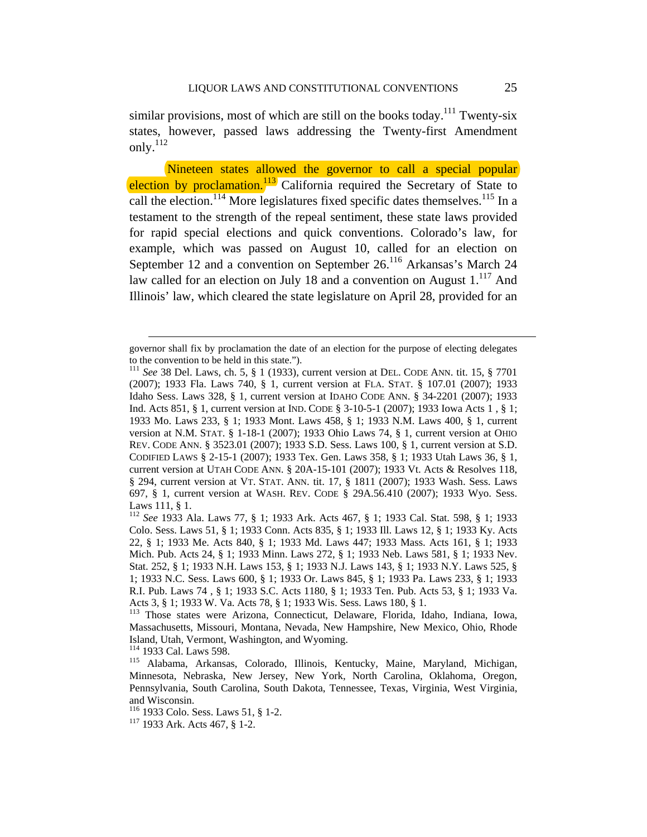similar provisions, most of which are still on the books today.<sup>111</sup> Twenty-six states, however, passed laws addressing the Twenty-first Amendment only.<sup>112</sup>

 Nineteen states allowed the governor to call a special popular election by proclamation.<sup>113</sup> California required the Secretary of State to call the election.<sup>114</sup> More legislatures fixed specific dates themselves.<sup>115</sup> In a testament to the strength of the repeal sentiment, these state laws provided for rapid special elections and quick conventions. Colorado's law, for example, which was passed on August 10, called for an election on September 12 and a convention on September 26.<sup>116</sup> Arkansas's March 24 law called for an election on July 18 and a convention on August  $1<sup>117</sup>$  And Illinois' law, which cleared the state legislature on April 28, provided for an

governor shall fix by proclamation the date of an election for the purpose of electing delegates to the convention to be held in this state.").

<sup>111</sup> *See* 38 Del. Laws, ch. 5, § 1 (1933), current version at DEL. CODE ANN. tit. 15, § 7701 (2007); 1933 Fla. Laws 740, § 1, current version at FLA. STAT. § 107.01 (2007); 1933 Idaho Sess. Laws 328, § 1, current version at IDAHO CODE ANN. § 34-2201 (2007); 1933 Ind. Acts 851, § 1, current version at IND. CODE § 3-10-5-1 (2007); 1933 Iowa Acts 1 , § 1; 1933 Mo. Laws 233, § 1; 1933 Mont. Laws 458, § 1; 1933 N.M. Laws 400, § 1, current version at N.M. STAT. § 1-18-1 (2007); 1933 Ohio Laws 74, § 1, current version at OHIO REV. CODE ANN. § 3523.01 (2007); 1933 S.D. Sess. Laws 100, § 1, current version at S.D. CODIFIED LAWS § 2-15-1 (2007); 1933 Tex. Gen. Laws 358, § 1; 1933 Utah Laws 36, § 1, current version at UTAH CODE ANN. § 20A-15-101 (2007); 1933 Vt. Acts & Resolves 118, § 294, current version at VT. STAT. ANN. tit. 17, § 1811 (2007); 1933 Wash. Sess. Laws 697, § 1, current version at WASH. REV. CODE § 29A.56.410 (2007); 1933 Wyo. Sess. Laws 111, § 1.

<sup>112</sup> *See* 1933 Ala. Laws 77, § 1; 1933 Ark. Acts 467, § 1; 1933 Cal. Stat. 598, § 1; 1933 Colo. Sess. Laws 51, § 1; 1933 Conn. Acts 835, § 1; 1933 Ill. Laws 12, § 1; 1933 Ky. Acts 22, § 1; 1933 Me. Acts 840, § 1; 1933 Md. Laws 447; 1933 Mass. Acts 161, § 1; 1933 Mich. Pub. Acts 24, § 1; 1933 Minn. Laws 272, § 1; 1933 Neb. Laws 581, § 1; 1933 Nev. Stat. 252, § 1; 1933 N.H. Laws 153, § 1; 1933 N.J. Laws 143, § 1; 1933 N.Y. Laws 525, § 1; 1933 N.C. Sess. Laws 600, § 1; 1933 Or. Laws 845, § 1; 1933 Pa. Laws 233, § 1; 1933 R.I. Pub. Laws 74 , § 1; 1933 S.C. Acts 1180, § 1; 1933 Ten. Pub. Acts 53, § 1; 1933 Va. Acts 3, § 1; 1933 W. Va. Acts 78, § 1; 1933 Wis. Sess. Laws 180, § 1.

<sup>113</sup> Those states were Arizona, Connecticut, Delaware, Florida, Idaho, Indiana, Iowa, Massachusetts, Missouri, Montana, Nevada, New Hampshire, New Mexico, Ohio, Rhode Island, Utah, Vermont, Washington, and Wyoming.<br><sup>114</sup> 1933 Cal. Laws 598.

<sup>&</sup>lt;sup>115</sup> Alabama, Arkansas, Colorado, Illinois, Kentucky, Maine, Maryland, Michigan, Minnesota, Nebraska, New Jersey, New York, North Carolina, Oklahoma, Oregon, Pennsylvania, South Carolina, South Dakota, Tennessee, Texas, Virginia, West Virginia, and Wisconsin.

<sup>&</sup>lt;sup>116</sup> 1933 Colo. Sess. Laws 51, § 1-2.<br><sup>117</sup> 1933 Ark. Acts 467, § 1-2.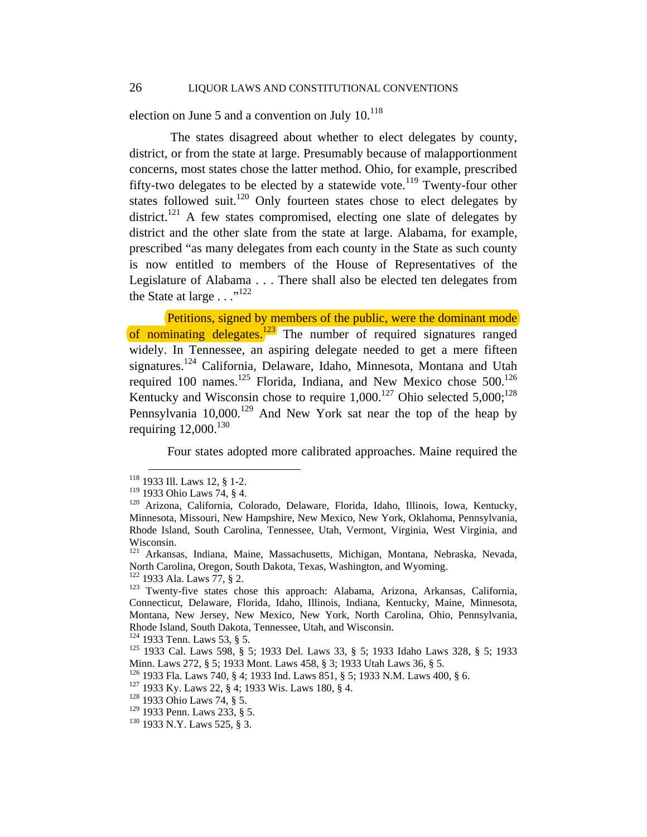election on June 5 and a convention on July  $10^{118}$ 

 The states disagreed about whether to elect delegates by county, district, or from the state at large. Presumably because of malapportionment concerns, most states chose the latter method. Ohio, for example, prescribed fifty-two delegates to be elected by a statewide vote.<sup>119</sup> Twenty-four other states followed suit.<sup>120</sup> Only fourteen states chose to elect delegates by district.<sup>121</sup> A few states compromised, electing one slate of delegates by district and the other slate from the state at large. Alabama, for example, prescribed "as many delegates from each county in the State as such county is now entitled to members of the House of Representatives of the Legislature of Alabama . . . There shall also be elected ten delegates from the State at large  $\ldots$ <sup>122</sup>

Petitions, signed by members of the public, were the dominant mode of nominating delegates. $\frac{123}{123}$  The number of required signatures ranged widely. In Tennessee, an aspiring delegate needed to get a mere fifteen signatures.<sup>124</sup> California, Delaware, Idaho, Minnesota, Montana and Utah required 100 names.<sup>125</sup> Florida, Indiana, and New Mexico chose  $500$ .<sup>126</sup> Kentucky and Wisconsin chose to require  $1,000$ .<sup>127</sup> Ohio selected  $5,000$ ;<sup>128</sup> Pennsylvania  $10,000$ <sup>129</sup> And New York sat near the top of the heap by requiring  $12,000$ .<sup>130</sup>

Four states adopted more calibrated approaches. Maine required the

<sup>&</sup>lt;sup>118</sup> 1933 Ill. Laws 12, § 1-2.<br><sup>119</sup> 1933 Ohio Laws 74, § 4.

<sup>&</sup>lt;sup>120</sup> Arizona, California, Colorado, Delaware, Florida, Idaho, Illinois, Iowa, Kentucky, Minnesota, Missouri, New Hampshire, New Mexico, New York, Oklahoma, Pennsylvania, Rhode Island, South Carolina, Tennessee, Utah, Vermont, Virginia, West Virginia, and Wisconsin.

<sup>121</sup> Arkansas, Indiana, Maine, Massachusetts, Michigan, Montana, Nebraska, Nevada, North Carolina, Oregon, South Dakota, Texas, Washington, and Wyoming.

<sup>&</sup>lt;sup>122</sup> 1933 Ala. Laws 77, § 2.<br><sup>123</sup> Twenty-five states chose this approach: Alabama, Arizona, Arkansas, California, Connecticut, Delaware, Florida, Idaho, Illinois, Indiana, Kentucky, Maine, Minnesota, Montana, New Jersey, New Mexico, New York, North Carolina, Ohio, Pennsylvania, Rhode Island, South Dakota, Tennessee, Utah, and Wisconsin.<br><sup>124</sup> 1933 Tenn. Laws 53, § 5.

<sup>&</sup>lt;sup>125</sup> 1933 Cal. Laws 598, § 5; 1933 Del. Laws 33, § 5; 1933 Idaho Laws 328, § 5; 1933 Minn. Laws 272, § 5; 1933 Mont. Laws 458, § 3; 1933 Utah Laws 36, § 5.

<sup>126 1933</sup> Fla. Laws 740, § 4; 1933 Ind. Laws 851, § 5; 1933 N.M. Laws 400, § 6. 127 1933 Ky. Laws 22, § 4; 1933 Wis. Laws 180, § 4. 128 1933 Ohio Laws 74, § 5.

<sup>&</sup>lt;sup>129</sup> 1933 Penn. Laws 233, § 5.<br><sup>130</sup> 1933 N.Y. Laws 525, § 3.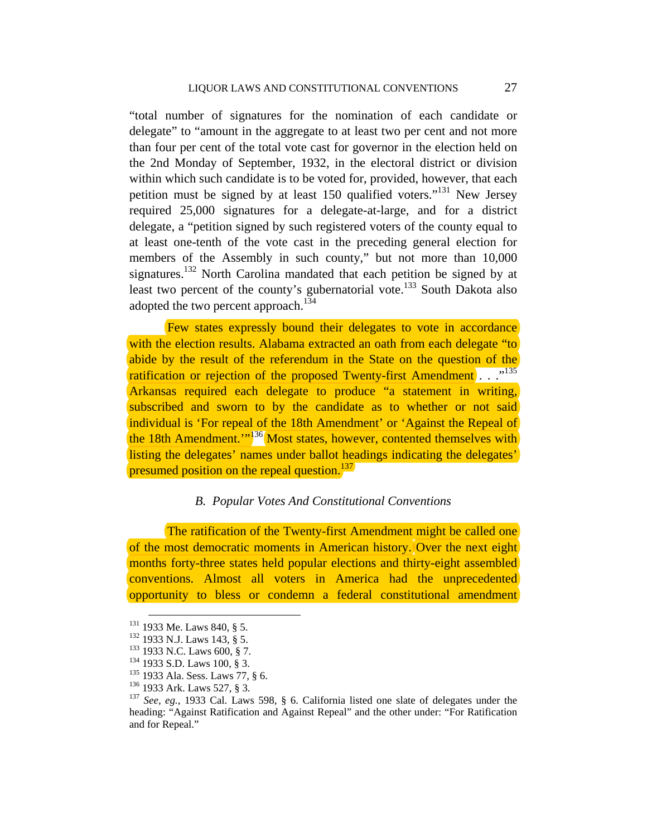"total number of signatures for the nomination of each candidate or delegate" to "amount in the aggregate to at least two per cent and not more than four per cent of the total vote cast for governor in the election held on the 2nd Monday of September, 1932, in the electoral district or division within which such candidate is to be voted for, provided, however, that each petition must be signed by at least 150 qualified voters."131 New Jersey required 25,000 signatures for a delegate-at-large, and for a district delegate, a "petition signed by such registered voters of the county equal to at least one-tenth of the vote cast in the preceding general election for members of the Assembly in such county," but not more than 10,000 signatures.<sup>132</sup> North Carolina mandated that each petition be signed by at least two percent of the county's gubernatorial vote.<sup>133</sup> South Dakota also adopted the two percent approach. $134$ 

 Few states expressly bound their delegates to vote in accordance with the election results. Alabama extracted an oath from each delegate "to" abide by the result of the referendum in the State on the question of the ratification or rejection of the proposed Twenty-first Amendment . . .<sup>,135</sup> Arkansas required each delegate to produce "a statement in writing, subscribed and sworn to by the candidate as to whether or not said individual is 'For repeal of the 18th Amendment' or 'Against the Repeal of the 18th Amendment."<sup>136</sup> Most states, however, contented themselves with listing the delegates' names under ballot headings indicating the delegates' presumed position on the repeal question.<sup>137</sup>

## *B. Popular Votes And Constitutional Conventions*

The ratification of the Twenty-first Amendment might be called one of the most democratic moments in American history. Over the next eight months forty-three states held popular elections and thirty-eight assembled conventions. Almost all voters in America had the unprecedented opportunity to bless or condemn a federal constitutional amendment

<sup>&</sup>lt;sup>131</sup> 1933 Me. Laws 840, § 5.<br><sup>132</sup> 1933 N.J. Laws 143, § 5.<br><sup>133</sup> 1933 N.C. Laws 600, § 7.<br><sup>134</sup> 1933 S.D. Laws 100, § 3.<br><sup>135</sup> 1933 Ala. Sess. Laws 77, § 6.<br><sup>136</sup> 1933 Ark. Laws 527, § 3.<br><sup>136</sup> 1933 Ark. Laws 527, § 3. heading: "Against Ratification and Against Repeal" and the other under: "For Ratification and for Repeal."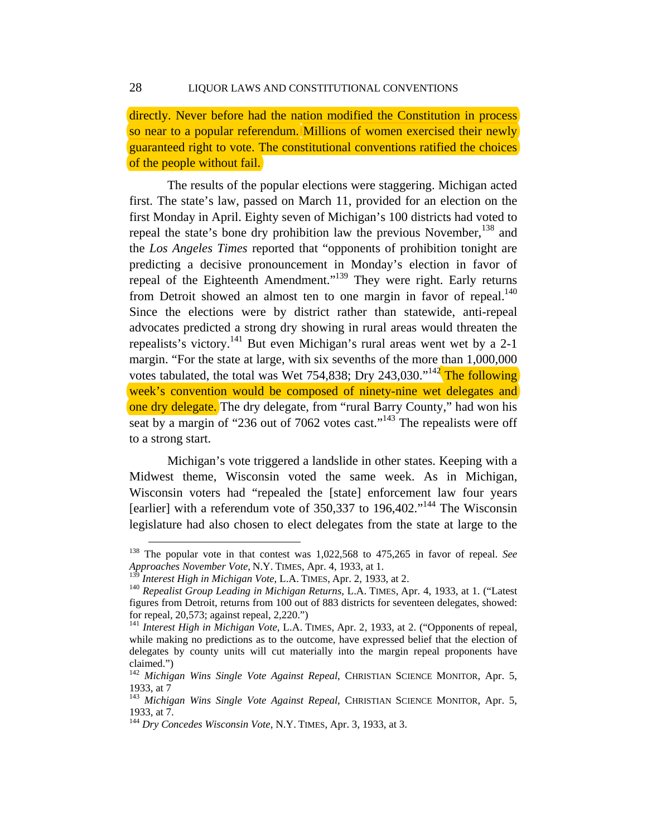directly. Never before had the nation modified the Constitution in process so near to a popular referendum. Millions of women exercised their newly guaranteed right to vote. The constitutional conventions ratified the choices of the people without fail.

The results of the popular elections were staggering. Michigan acted first. The state's law, passed on March 11, provided for an election on the first Monday in April. Eighty seven of Michigan's 100 districts had voted to repeal the state's bone dry prohibition law the previous November,  $138$  and the *Los Angeles Times* reported that "opponents of prohibition tonight are predicting a decisive pronouncement in Monday's election in favor of repeal of the Eighteenth Amendment."139 They were right. Early returns from Detroit showed an almost ten to one margin in favor of repeal.<sup>140</sup> Since the elections were by district rather than statewide, anti-repeal advocates predicted a strong dry showing in rural areas would threaten the repealists's victory.141 But even Michigan's rural areas went wet by a 2-1 margin. "For the state at large, with six sevenths of the more than 1,000,000 votes tabulated, the total was Wet 754,838; Dry 243,030."<sup>142</sup> The following week's convention would be composed of ninety-nine wet delegates and one dry delegate. The dry delegate, from "rural Barry County," had won his seat by a margin of "236 out of 7062 votes cast."<sup>143</sup> The repealists were off to a strong start.

Michigan's vote triggered a landslide in other states. Keeping with a Midwest theme, Wisconsin voted the same week. As in Michigan, Wisconsin voters had "repealed the [state] enforcement law four years [earlier] with a referendum vote of  $350,337$  to  $196,402$ ."<sup>144</sup> The Wisconsin legislature had also chosen to elect delegates from the state at large to the

 <sup>138</sup> The popular vote in that contest was 1,022,568 to 475,265 in favor of repeal. *See Approaches November Vote*, N.Y. TIMES, Apr. 4, 1933, at 1.

<sup>&</sup>lt;sup>140</sup> Repealist Group Leading in Michigan Returns, L.A. TIMES, Apr. 4, 1933, at 1. ("Latest figures from Detroit, returns from 100 out of 883 districts for seventeen delegates, showed: for repeal, 20,573; against repeal, 2,220.")<br><sup>141</sup> *Interest High in Michigan Vote*, L.A. TIMES, Apr. 2, 1933, at 2. ("Opponents of repeal,

while making no predictions as to the outcome, have expressed belief that the election of delegates by county units will cut materially into the margin repeal proponents have claimed.")

<sup>142</sup> *Michigan Wins Single Vote Against Repeal*, CHRISTIAN SCIENCE MONITOR, Apr. 5, 1933, at 7

<sup>143</sup> *Michigan Wins Single Vote Against Repeal*, CHRISTIAN SCIENCE MONITOR, Apr. 5, 1933, at 7.

<sup>144</sup> *Dry Concedes Wisconsin Vote*, N.Y. TIMES, Apr. 3, 1933, at 3.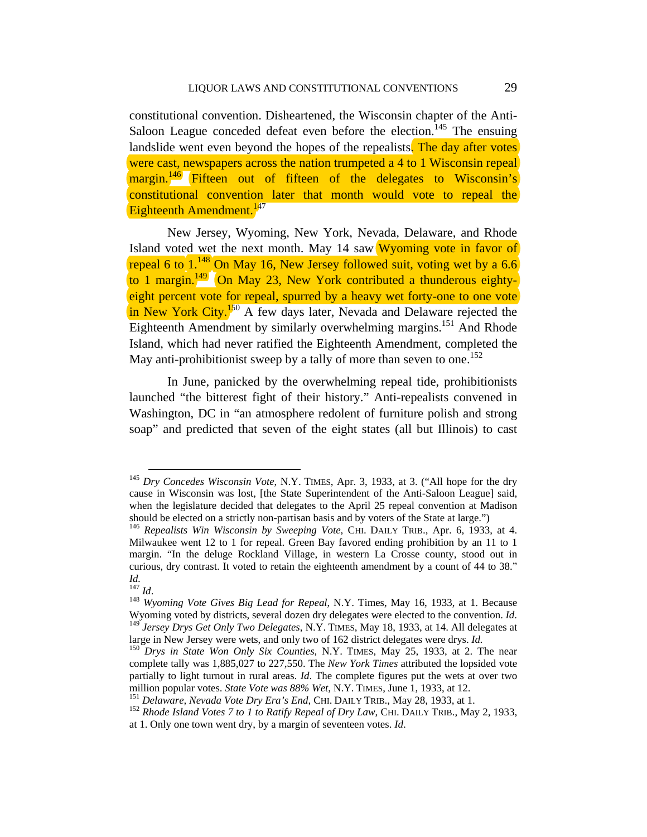constitutional convention. Disheartened, the Wisconsin chapter of the Anti-Saloon League conceded defeat even before the election.<sup>145</sup> The ensuing landslide went even beyond the hopes of the repealists. The day after votes were cast, newspapers across the nation trumpeted a 4 to 1 Wisconsin repeal margin.<sup>146</sup> Fifteen out of fifteen of the delegates to Wisconsin's constitutional convention later that month would vote to repeal the Eighteenth Amendment. $147$ 

New Jersey, Wyoming, New York, Nevada, Delaware, and Rhode Island voted wet the next month. May 14 saw Wyoming vote in favor of repeal 6 to  $1^{148}$  On May 16, New Jersey followed suit, voting wet by a 6.6 to 1 margin.<sup>149</sup> On May 23, New York contributed a thunderous eightyeight percent vote for repeal, spurred by a heavy wet forty-one to one vote in New York City.<sup>150</sup> A few days later, Nevada and Delaware rejected the Eighteenth Amendment by similarly overwhelming margins.<sup>151</sup> And Rhode Island, which had never ratified the Eighteenth Amendment, completed the May anti-prohibitionist sweep by a tally of more than seven to one.<sup>152</sup>

In June, panicked by the overwhelming repeal tide, prohibitionists launched "the bitterest fight of their history." Anti-repealists convened in Washington, DC in "an atmosphere redolent of furniture polish and strong soap" and predicted that seven of the eight states (all but Illinois) to cast

 <sup>145</sup> *Dry Concedes Wisconsin Vote*, N.Y. TIMES, Apr. 3, 1933, at 3. ("All hope for the dry cause in Wisconsin was lost, [the State Superintendent of the Anti-Saloon League] said, when the legislature decided that delegates to the April 25 repeal convention at Madison should be elected on a strictly non-partisan basis and by voters of the State at large.")

<sup>&</sup>lt;sup>146</sup> Repealists Win Wisconsin by Sweeping Vote, CHI. DAILY TRIB., Apr. 6, 1933, at 4. Milwaukee went 12 to 1 for repeal. Green Bay favored ending prohibition by an 11 to 1 margin. "In the deluge Rockland Village, in western La Crosse county, stood out in curious, dry contrast. It voted to retain the eighteenth amendment by a count of 44 to 38." *Id.*

<sup>&</sup>lt;sup>148</sup> *Wyoming Vote Gives Big Lead for Repeal*, N.Y. Times, May 16, 1933, at 1. Because Wyoming voted by districts, several dozen dry delegates were elected to the convention. *Id*. <sup>149</sup> *Jersey Drys Get Only Two Delegates*, N.Y. TIMES, May 18, 1933, at 14. All delegates at large in New Jersey were wets, and

<sup>&</sup>lt;sup>150</sup> Drys in State Won Only Six Counties, N.Y. TIMES, May 25, 1933, at 2. The near complete tally was 1,885,027 to 227,550. The *New York Times* attributed the lopsided vote partially to light turnout in rural areas. *Id*. The complete figures put the wets at over two million popular votes. *State Vote was* 88% *Wet*, N.Y. TIMES, June 1, 1933, at 12.

<sup>&</sup>lt;sup>151</sup> Delaware, Nevada Vote Dry Era's End, CHI. DAILY TRIB., May 28, 1933, at 1.<br><sup>152</sup> Rhode Island Votes 7 to 1 to Ratify Repeal of Dry Law, CHI. DAILY TRIB., May 2, 1933, at 1. Only one town went dry, by a margin of seventeen votes. *Id*.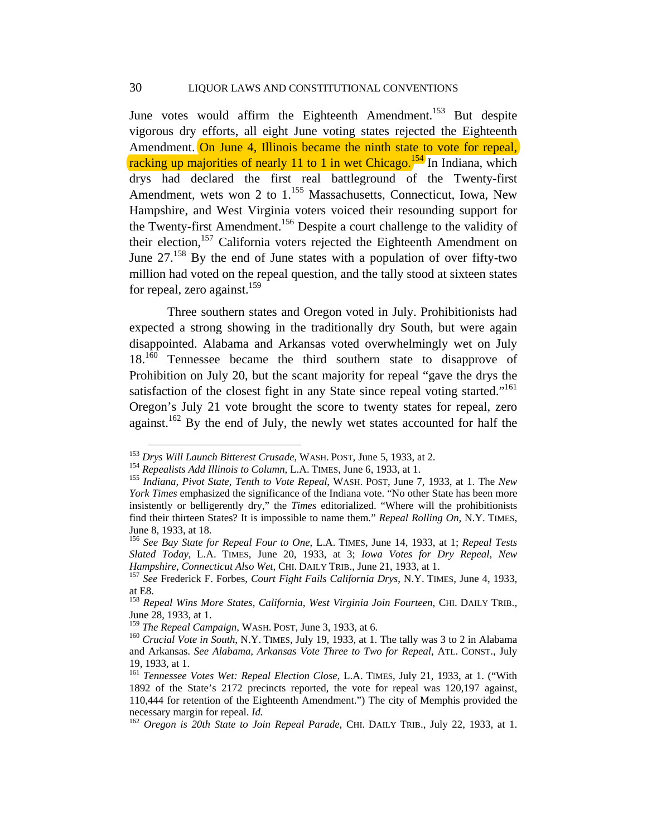June votes would affirm the Eighteenth Amendment.<sup>153</sup> But despite vigorous dry efforts, all eight June voting states rejected the Eighteenth Amendment. On June 4, Illinois became the ninth state to vote for repeal. racking up majorities of nearly 11 to 1 in wet Chicago.<sup>154</sup> In Indiana, which drys had declared the first real battleground of the Twenty-first Amendment, wets won 2 to 1.<sup>155</sup> Massachusetts, Connecticut, Iowa, New Hampshire, and West Virginia voters voiced their resounding support for the Twenty-first Amendment.<sup>156</sup> Despite a court challenge to the validity of their election,<sup>157</sup> California voters rejected the Eighteenth Amendment on June  $27^{158}$  By the end of June states with a population of over fifty-two million had voted on the repeal question, and the tally stood at sixteen states for repeal, zero against.<sup>159</sup>

Three southern states and Oregon voted in July. Prohibitionists had expected a strong showing in the traditionally dry South, but were again disappointed. Alabama and Arkansas voted overwhelmingly wet on July 18<sup>.160</sup> Tennessee became the third southern state to disapprove of Prohibition on July 20, but the scant majority for repeal "gave the drys the satisfaction of the closest fight in any State since repeal voting started."<sup>161</sup> Oregon's July 21 vote brought the score to twenty states for repeal, zero against.<sup>162</sup> By the end of July, the newly wet states accounted for half the

<sup>&</sup>lt;sup>153</sup> Drys Will Launch Bitterest Crusade, WASH. POST, June 5, 1933, at 2.<br><sup>154</sup> Repealists Add Illinois to Column, L.A. TIMES, June 6, 1933, at 1.<br><sup>155</sup> Indiana, Pivot State, Tenth to Vote Repeal, WASH. POST, June 7, 1933

*York Times* emphasized the significance of the Indiana vote. "No other State has been more insistently or belligerently dry," the *Times* editorialized. "Where will the prohibitionists find their thirteen States? It is impossible to name them." *Repeal Rolling On*, N.Y. TIMES, June 8, 1933, at 18.

<sup>156</sup> *See Bay State for Repeal Four to One*, L.A. TIMES, June 14, 1933, at 1; *Repeal Tests Slated Today*, L.A. TIMES, June 20, 1933, at 3; *Iowa Votes for Dry Repeal, New Hampshire, Connecticut Also Wet*, CHI. DAILY TRIB., June 21, 1933, at 1.<br><sup>157</sup> *See* Frederick F. Forbes, *Court Fight Fails California Drys*, N.Y. TIMES, June 4, 1933,

at E8.

<sup>158</sup> *Repeal Wins More States, California, West Virginia Join Fourteen*, CHI. DAILY TRIB., June 28, 1933, at 1.<br><sup>159</sup> The Repeal Campaign, WASH. POST, June 3, 1933, at 6.

<sup>&</sup>lt;sup>160</sup> *Crucial Vote in South*, N.Y. TIMES, July 19, 1933, at 1. The tally was 3 to 2 in Alabama and Arkansas. *See Alabama, Arkansas Vote Three to Two for Repeal*, ATL. CONST., July 19, 1933, at 1.

<sup>161</sup> *Tennessee Votes Wet: Repeal Election Close*, L.A. TIMES, July 21, 1933, at 1. ("With 1892 of the State's 2172 precincts reported, the vote for repeal was 120,197 against, 110,444 for retention of the Eighteenth Amendment.") The city of Memphis provided the necessary margin for repeal.  $Id$ .

<sup>&</sup>lt;sup>162</sup> *Oregon is 20th State to Join Repeal Parade*, CHI. DAILY TRIB., July 22, 1933, at 1.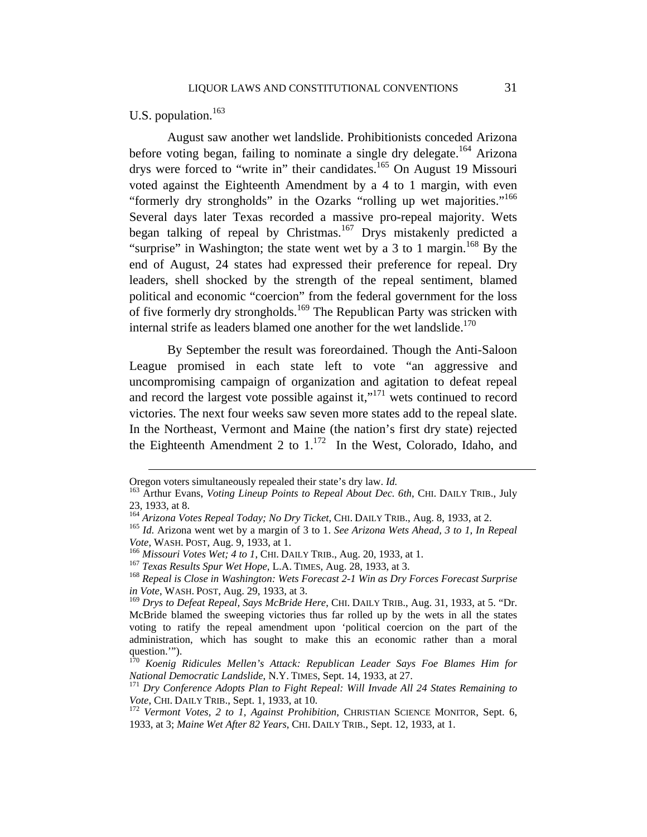# U.S. population.<sup>163</sup>

August saw another wet landslide. Prohibitionists conceded Arizona before voting began, failing to nominate a single dry delegate.<sup>164</sup> Arizona drys were forced to "write in" their candidates.<sup>165</sup> On August 19 Missouri voted against the Eighteenth Amendment by a 4 to 1 margin, with even "formerly dry strongholds" in the Ozarks "rolling up wet majorities."<sup>166</sup> Several days later Texas recorded a massive pro-repeal majority. Wets began talking of repeal by Christmas.<sup>167</sup> Drys mistakenly predicted a "surprise" in Washington; the state went wet by a 3 to 1 margin.<sup>168</sup> By the end of August, 24 states had expressed their preference for repeal. Dry leaders, shell shocked by the strength of the repeal sentiment, blamed political and economic "coercion" from the federal government for the loss of five formerly dry strongholds.<sup>169</sup> The Republican Party was stricken with internal strife as leaders blamed one another for the wet landslide.<sup>170</sup>

By September the result was foreordained. Though the Anti-Saloon League promised in each state left to vote "an aggressive and uncompromising campaign of organization and agitation to defeat repeal and record the largest vote possible against it,"171 wets continued to record victories. The next four weeks saw seven more states add to the repeal slate. In the Northeast, Vermont and Maine (the nation's first dry state) rejected the Eighteenth Amendment 2 to  $1^{172}$  In the West, Colorado, Idaho, and

Oregon voters simultaneously repealed their state's dry law. *Id.* 163 Arthur Evans, *Voting Lineup Points to Repeal About Dec. 6th*, CHI. DAILY TRIB., July 23, 1933, at 8.

<sup>164</sup> *Arizona Votes Repeal Today; No Dry Ticket*, CHI. DAILY TRIB., Aug. 8, 1933, at 2. 165 *Id*. Arizona went wet by a margin of 3 to 1. *See Arizona Wets Ahead, 3 to 1, In Repeal*  Vote, WASH. POST, Aug. 9, 1933, at 1.<br><sup>166</sup> Missouri Votes Wet; 4 to 1, CHI. DAILY TRIB., Aug. 20, 1933, at 1.<br><sup>167</sup> Texas Results Spur Wet Hope, L.A. TIMES, Aug. 28, 1933, at 3.<br><sup>168</sup> Repeal is Close in Washington: Wets F

*in Vote*, WASH. POST, Aug. 29, 1933, at 3.

<sup>169</sup> *Drys to Defeat Repeal, Says McBride Here*, CHI. DAILY TRIB., Aug. 31, 1933, at 5. "Dr. McBride blamed the sweeping victories thus far rolled up by the wets in all the states voting to ratify the repeal amendment upon 'political coercion on the part of the administration, which has sought to make this an economic rather than a moral question.'").

<sup>170</sup> *Koenig Ridicules Mellen's Attack: Republican Leader Says Foe Blames Him for National Democratic Landslide*, N.Y. TIMES, Sept. 14, 1933, at 27.<br><sup>171</sup> *Dry Conference Adopts Plan to Fight Repeal: Will Invade All 24 States Remaining to* 

*Vote*, CHI. DAILY TRIB., Sept. 1, 1933, at 10. 172 *Vermont Votes, 2 to 1, Against Prohibition*, CHRISTIAN SCIENCE MONITOR, Sept. 6,

<sup>1933,</sup> at 3; *Maine Wet After 82 Years*, CHI. DAILY TRIB., Sept. 12, 1933, at 1.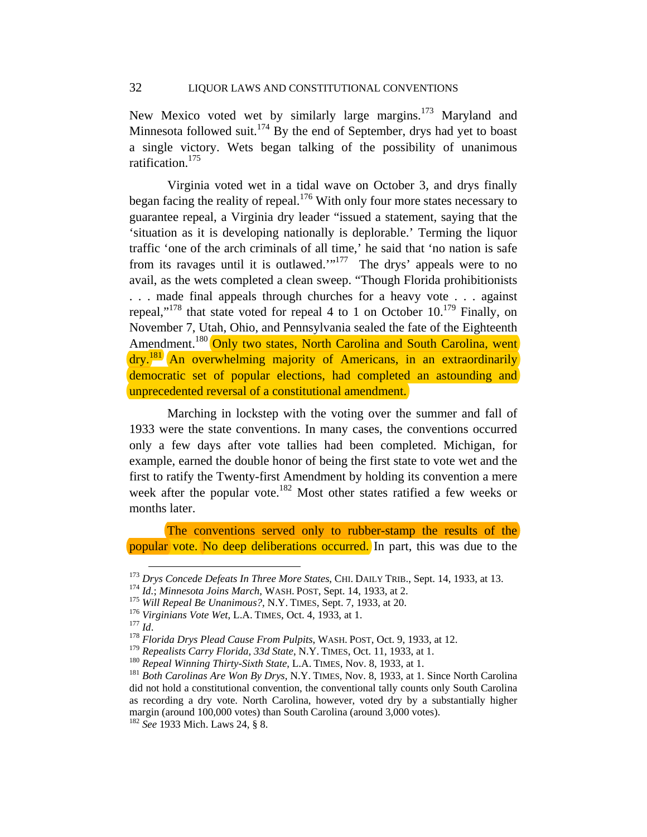New Mexico voted wet by similarly large margins.<sup>173</sup> Maryland and Minnesota followed suit.<sup>174</sup> By the end of September, drys had yet to boast a single victory. Wets began talking of the possibility of unanimous ratification.<sup>175</sup>

Virginia voted wet in a tidal wave on October 3, and drys finally began facing the reality of repeal.<sup>176</sup> With only four more states necessary to guarantee repeal, a Virginia dry leader "issued a statement, saying that the 'situation as it is developing nationally is deplorable.' Terming the liquor traffic 'one of the arch criminals of all time,' he said that 'no nation is safe from its ravages until it is outlawed. $1^{177}$  The drys' appeals were to no avail, as the wets completed a clean sweep. "Though Florida prohibitionists . . . made final appeals through churches for a heavy vote . . . against repeal,"<sup>178</sup> that state voted for repeal 4 to 1 on October  $10^{179}$  Finally, on November 7, Utah, Ohio, and Pennsylvania sealed the fate of the Eighteenth Amendment.<sup>180</sup> Only two states, North Carolina and South Carolina, went dry.<sup>181</sup> An overwhelming majority of Americans, in an extraordinarily democratic set of popular elections, had completed an astounding and unprecedented reversal of a constitutional amendment.

Marching in lockstep with the voting over the summer and fall of 1933 were the state conventions. In many cases, the conventions occurred only a few days after vote tallies had been completed. Michigan, for example, earned the double honor of being the first state to vote wet and the first to ratify the Twenty-first Amendment by holding its convention a mere week after the popular vote.<sup>182</sup> Most other states ratified a few weeks or months later.

The conventions served only to rubber-stamp the results of the popular vote. No deep deliberations occurred. In part, this was due to the

<sup>&</sup>lt;sup>173</sup> Drys Concede Defeats In Three More States, CHI. DAILY TRIB., Sept. 14, 1933, at 13.<br><sup>174</sup> Id.; Minnesota Joins March, WASH. POST, Sept. 14, 1933, at 2.<br><sup>175</sup> Will Repeal Be Unanimous?, N.Y. TIMES, Sept. 7, 1933, at

<sup>&</sup>lt;sup>180</sup> Repeal Winning Thirty-Sixth State, L.A. TIMES, Nov. 8, 1933, at 1.<br><sup>181</sup> Both Carolinas Are Won By Drys, N.Y. TIMES, Nov. 8, 1933, at 1. Since North Carolina did not hold a constitutional convention, the conventional tally counts only South Carolina as recording a dry vote. North Carolina, however, voted dry by a substantially higher margin (around 100,000 votes) than South Carolina (around 3,000 votes).

<sup>182</sup> *See* 1933 Mich. Laws 24, § 8.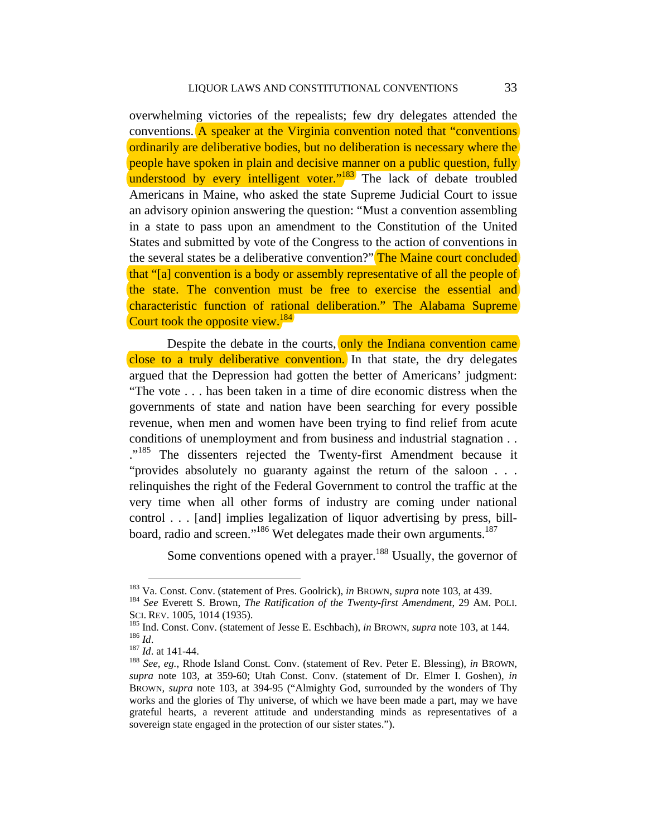overwhelming victories of the repealists; few dry delegates attended the conventions. A speaker at the Virginia convention noted that "conventions ordinarily are deliberative bodies, but no deliberation is necessary where the people have spoken in plain and decisive manner on a public question, fully understood by every intelligent voter."<sup>183</sup> The lack of debate troubled Americans in Maine, who asked the state Supreme Judicial Court to issue an advisory opinion answering the question: "Must a convention assembling in a state to pass upon an amendment to the Constitution of the United States and submitted by vote of the Congress to the action of conventions in the several states be a deliberative convention?" The Maine court concluded that "[a] convention is a body or assembly representative of all the people of the state. The convention must be free to exercise the essential and characteristic function of rational deliberation." The Alabama Supreme Court took the opposite view.<sup>184</sup>

Despite the debate in the courts, only the Indiana convention came close to a truly deliberative convention. In that state, the dry delegates argued that the Depression had gotten the better of Americans' judgment: "The vote . . . has been taken in a time of dire economic distress when the governments of state and nation have been searching for every possible revenue, when men and women have been trying to find relief from acute conditions of unemployment and from business and industrial stagnation . . ."<sup>185</sup> The dissenters rejected the Twenty-first Amendment because it "provides absolutely no guaranty against the return of the saloon . . . relinquishes the right of the Federal Government to control the traffic at the very time when all other forms of industry are coming under national control . . . [and] implies legalization of liquor advertising by press, billboard, radio and screen."<sup>186</sup> Wet delegates made their own arguments.<sup>187</sup>

Some conventions opened with a prayer.<sup>188</sup> Usually, the governor of

<sup>&</sup>lt;sup>183</sup> Va. Const. Conv. (statement of Pres. Goolrick), *in BROWN, supra* note 103, at 439.<br><sup>184</sup> *See* Everett S. Brown, *The Ratification of the Twenty-first Amendment*, 29 AM. POLI.<br>SCI. REV. 1005, 1014 (1935).

<sup>&</sup>lt;sup>185</sup> Ind. Const. Conv. (statement of Jesse E. Eschbach), *in* BROWN, *supra* note 103, at 144.<br><sup>186</sup> Id. at 141-44.<br><sup>187</sup> Id. at 141-44.<br><sup>188</sup> See, eg., Rhode Island Const. Conv. (statement of Rev. Peter E. Blessing), *i* 

*supra* note 103, at 359-60; Utah Const. Conv. (statement of Dr. Elmer I. Goshen), *in*  BROWN*, supra* note 103, at 394-95 ("Almighty God, surrounded by the wonders of Thy works and the glories of Thy universe, of which we have been made a part, may we have grateful hearts, a reverent attitude and understanding minds as representatives of a sovereign state engaged in the protection of our sister states.").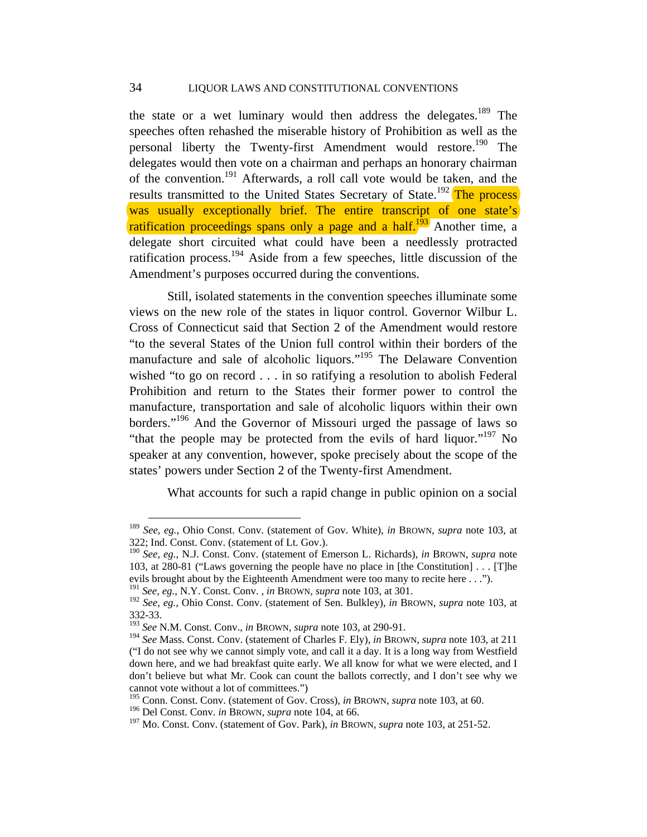the state or a wet luminary would then address the delegates.<sup>189</sup> The speeches often rehashed the miserable history of Prohibition as well as the personal liberty the Twenty-first Amendment would restore.<sup>190</sup> The delegates would then vote on a chairman and perhaps an honorary chairman of the convention.191 Afterwards, a roll call vote would be taken, and the results transmitted to the United States Secretary of State.<sup>192</sup> The process was usually exceptionally brief. The entire transcript of one state's ratification proceedings spans only a page and a half.<sup>193</sup> Another time, a delegate short circuited what could have been a needlessly protracted ratification process.194 Aside from a few speeches, little discussion of the Amendment's purposes occurred during the conventions.

Still, isolated statements in the convention speeches illuminate some views on the new role of the states in liquor control. Governor Wilbur L. Cross of Connecticut said that Section 2 of the Amendment would restore "to the several States of the Union full control within their borders of the manufacture and sale of alcoholic liquors."<sup>195</sup> The Delaware Convention wished "to go on record . . . in so ratifying a resolution to abolish Federal Prohibition and return to the States their former power to control the manufacture, transportation and sale of alcoholic liquors within their own borders."<sup>196</sup> And the Governor of Missouri urged the passage of laws so "that the people may be protected from the evils of hard liquor."197 No speaker at any convention, however, spoke precisely about the scope of the states' powers under Section 2 of the Twenty-first Amendment.

What accounts for such a rapid change in public opinion on a social

 <sup>189</sup> *See, eg.*, Ohio Const. Conv. (statement of Gov. White), *in* BROWN*, supra* note 103, at 322; Ind. Const. Conv. (statement of Lt. Gov.).

<sup>190</sup> *See, eg.*, N.J. Const. Conv. (statement of Emerson L. Richards), *in* BROWN*, supra* note 103, at 280-81 ("Laws governing the people have no place in [the Constitution] . . . [T]he evils brought about by the Eighteenth Amendment were too many to recite here . . .").

<sup>191</sup> *See, eg.*, N.Y. Const. Conv. , *in* BROWN*, supra* note 103, at 301.

<sup>192</sup> *See, eg.*, Ohio Const. Conv. (statement of Sen. Bulkley), *in* BROWN*, supra* note 103, at 332-33.

<sup>193</sup> *See* N.M. Const. Conv., *in* BROWN*, supra* note 103, at 290-91.

<sup>194</sup> *See* Mass. Const. Conv. (statement of Charles F. Ely), *in* BROWN*, supra* note 103, at 211 ("I do not see why we cannot simply vote, and call it a day. It is a long way from Westfield down here, and we had breakfast quite early. We all know for what we were elected, and I don't believe but what Mr. Cook can count the ballots correctly, and I don't see why we cannot vote without a lot of committees.")

<sup>195</sup> Conn. Const. Conv. (statement of Gov. Cross), *in* BROWN*, supra* note 103, at 60.

<sup>196</sup> Del Const. Conv. *in* BROWN*, supra* note 104, at 66.

<sup>197</sup> Mo. Const. Conv. (statement of Gov. Park), *in* BROWN*, supra* note 103, at 251-52.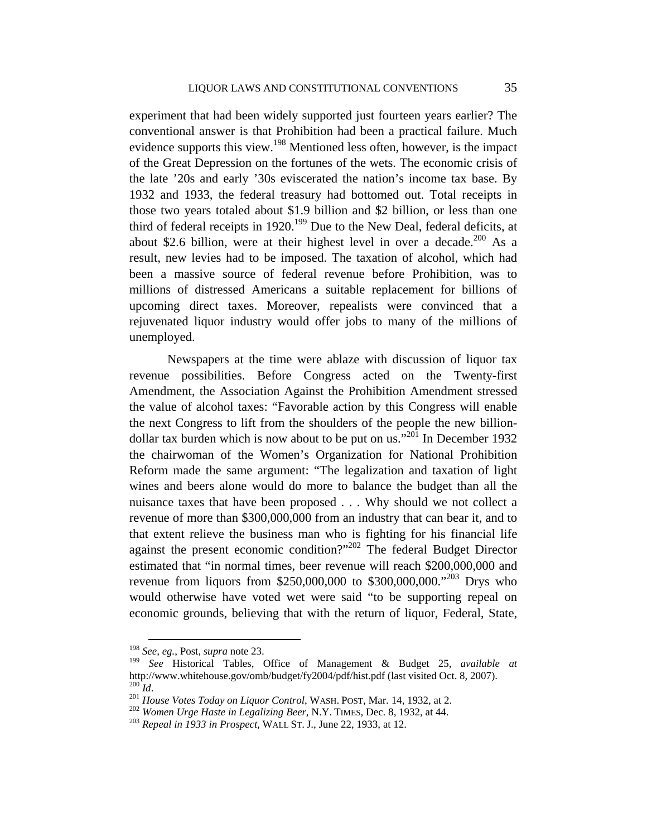experiment that had been widely supported just fourteen years earlier? The conventional answer is that Prohibition had been a practical failure. Much evidence supports this view.<sup>198</sup> Mentioned less often, however, is the impact of the Great Depression on the fortunes of the wets. The economic crisis of the late '20s and early '30s eviscerated the nation's income tax base. By 1932 and 1933, the federal treasury had bottomed out. Total receipts in those two years totaled about \$1.9 billion and \$2 billion, or less than one third of federal receipts in 1920.<sup>199</sup> Due to the New Deal, federal deficits, at about \$2.6 billion, were at their highest level in over a decade.<sup>200</sup> As a result, new levies had to be imposed. The taxation of alcohol, which had been a massive source of federal revenue before Prohibition, was to millions of distressed Americans a suitable replacement for billions of upcoming direct taxes. Moreover, repealists were convinced that a rejuvenated liquor industry would offer jobs to many of the millions of unemployed.

Newspapers at the time were ablaze with discussion of liquor tax revenue possibilities. Before Congress acted on the Twenty-first Amendment, the Association Against the Prohibition Amendment stressed the value of alcohol taxes: "Favorable action by this Congress will enable the next Congress to lift from the shoulders of the people the new billiondollar tax burden which is now about to be put on  $\mu$ s.<sup>301</sup> In December 1932 the chairwoman of the Women's Organization for National Prohibition Reform made the same argument: "The legalization and taxation of light wines and beers alone would do more to balance the budget than all the nuisance taxes that have been proposed . . . Why should we not collect a revenue of more than \$300,000,000 from an industry that can bear it, and to that extent relieve the business man who is fighting for his financial life against the present economic condition?"202 The federal Budget Director estimated that "in normal times, beer revenue will reach \$200,000,000 and revenue from liquors from \$250,000,000 to \$300,000,000."203 Drys who would otherwise have voted wet were said "to be supporting repeal on economic grounds, believing that with the return of liquor, Federal, State,

 <sup>198</sup> *See, eg.*, Post, *supra* note 23.

<sup>199</sup> *See* Historical Tables, Office of Management & Budget 25, *available at* http://www.whitehouse.gov/omb/budget/fy2004/pdf/hist.pdf (last visited Oct. 8, 2007).<br><sup>200</sup> Id.<br><sup>201</sup> House Votes Today on Liquor Control, WASH. POST, Mar. 14, 1932, at 2.<br><sup>202</sup> Women Urge Haste in Legalizing Beer, N.Y. T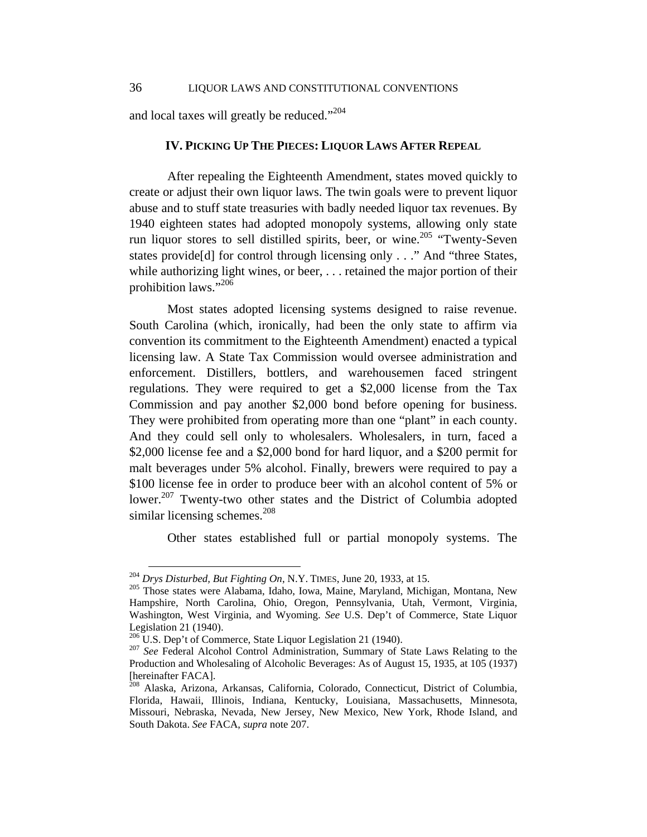and local taxes will greatly be reduced."<sup>204</sup>

#### **IV. PICKING UP THE PIECES: LIQUOR LAWS AFTER REPEAL**

After repealing the Eighteenth Amendment, states moved quickly to create or adjust their own liquor laws. The twin goals were to prevent liquor abuse and to stuff state treasuries with badly needed liquor tax revenues. By 1940 eighteen states had adopted monopoly systems, allowing only state run liquor stores to sell distilled spirits, beer, or wine.<sup>205</sup> "Twenty-Seven" states provide[d] for control through licensing only . . ." And "three States, while authorizing light wines, or beer, . . . retained the major portion of their prohibition laws."<sup>206</sup>

Most states adopted licensing systems designed to raise revenue. South Carolina (which, ironically, had been the only state to affirm via convention its commitment to the Eighteenth Amendment) enacted a typical licensing law. A State Tax Commission would oversee administration and enforcement. Distillers, bottlers, and warehousemen faced stringent regulations. They were required to get a \$2,000 license from the Tax Commission and pay another \$2,000 bond before opening for business. They were prohibited from operating more than one "plant" in each county. And they could sell only to wholesalers. Wholesalers, in turn, faced a \$2,000 license fee and a \$2,000 bond for hard liquor, and a \$200 permit for malt beverages under 5% alcohol. Finally, brewers were required to pay a \$100 license fee in order to produce beer with an alcohol content of 5% or lower.<sup>207</sup> Twenty-two other states and the District of Columbia adopted similar licensing schemes. $^{208}$ 

Other states established full or partial monopoly systems. The

<sup>204</sup> *Drys Disturbed, But Fighting On*, N.Y. TIMES, June 20, 1933, at 15. 205 Those states were Alabama, Idaho, Iowa, Maine, Maryland, Michigan, Montana, New Hampshire, North Carolina, Ohio, Oregon, Pennsylvania, Utah, Vermont, Virginia, Washington, West Virginia, and Wyoming. *See* U.S. Dep't of Commerce, State Liquor Legislation 21 (1940).<br><sup>206</sup> U.S. Dep't of Commerce, State Liquor Legislation 21 (1940).

<sup>&</sup>lt;sup>207</sup> See Federal Alcohol Control Administration, Summary of State Laws Relating to the Production and Wholesaling of Alcoholic Beverages: As of August 15, 1935, at 105 (1937) [hereinafter FACA].

<sup>208</sup> Alaska, Arizona, Arkansas, California, Colorado, Connecticut, District of Columbia, Florida, Hawaii, Illinois, Indiana, Kentucky, Louisiana, Massachusetts, Minnesota, Missouri, Nebraska, Nevada, New Jersey, New Mexico, New York, Rhode Island, and South Dakota. *See* FACA, *supra* note 207.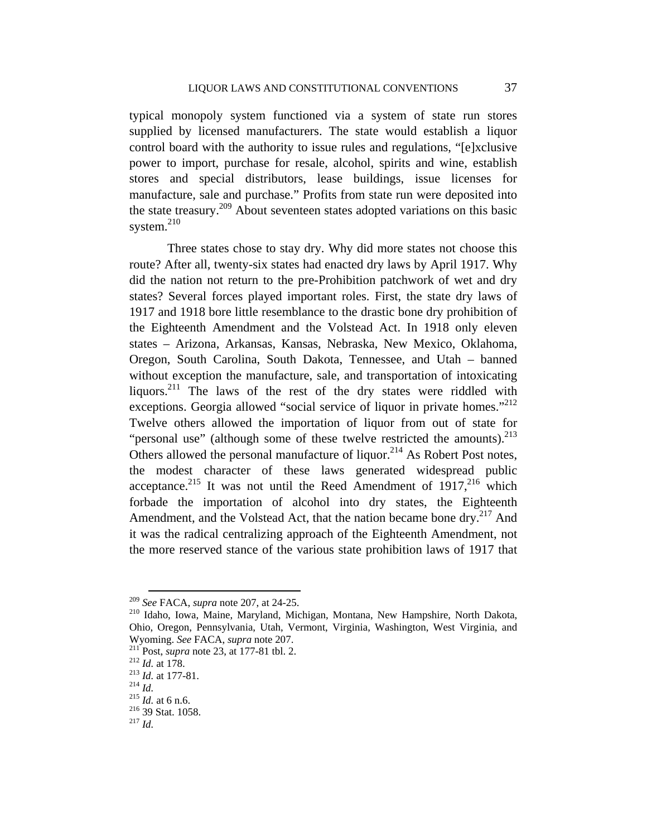typical monopoly system functioned via a system of state run stores supplied by licensed manufacturers. The state would establish a liquor control board with the authority to issue rules and regulations, "[e]xclusive power to import, purchase for resale, alcohol, spirits and wine, establish stores and special distributors, lease buildings, issue licenses for manufacture, sale and purchase." Profits from state run were deposited into the state treasury.209 About seventeen states adopted variations on this basic system.<sup>210</sup>

Three states chose to stay dry. Why did more states not choose this route? After all, twenty-six states had enacted dry laws by April 1917. Why did the nation not return to the pre-Prohibition patchwork of wet and dry states? Several forces played important roles. First, the state dry laws of 1917 and 1918 bore little resemblance to the drastic bone dry prohibition of the Eighteenth Amendment and the Volstead Act. In 1918 only eleven states – Arizona, Arkansas, Kansas, Nebraska, New Mexico, Oklahoma, Oregon, South Carolina, South Dakota, Tennessee, and Utah – banned without exception the manufacture, sale, and transportation of intoxicating liquors.<sup>211</sup> The laws of the rest of the dry states were riddled with exceptions. Georgia allowed "social service of liquor in private homes."<sup>212</sup> Twelve others allowed the importation of liquor from out of state for "personal use" (although some of these twelve restricted the amounts). $^{213}$ Others allowed the personal manufacture of liquor.<sup>214</sup> As Robert Post notes, the modest character of these laws generated widespread public acceptance.<sup>215</sup> It was not until the Reed Amendment of  $1917$ ,<sup>216</sup> which forbade the importation of alcohol into dry states, the Eighteenth Amendment, and the Volstead Act, that the nation became bone dry.<sup>217</sup> And it was the radical centralizing approach of the Eighteenth Amendment, not the more reserved stance of the various state prohibition laws of 1917 that

<sup>&</sup>lt;sup>209</sup> *See* FACA, *supra* note 207, at 24-25.<br><sup>210</sup> Idaho, Iowa, Maine, Maryland, Michigan, Montana, New Hampshire, North Dakota, Ohio, Oregon, Pennsylvania, Utah, Vermont, Virginia, Washington, West Virginia, and Wyoming. *See* FACA, *supra* note 207.<br>
<sup>211</sup> Post, *supra* note 23, at 177-81 tbl. 2.<br>
<sup>212</sup> *Id.* at 177-81.<br>
<sup>214</sup> *Id.*<br>
<sup>215</sup> *Id.* at 6 n.6.<br>
<sup>216</sup> 39 Stat. 1058.<br>
<sup>217</sup> *Id*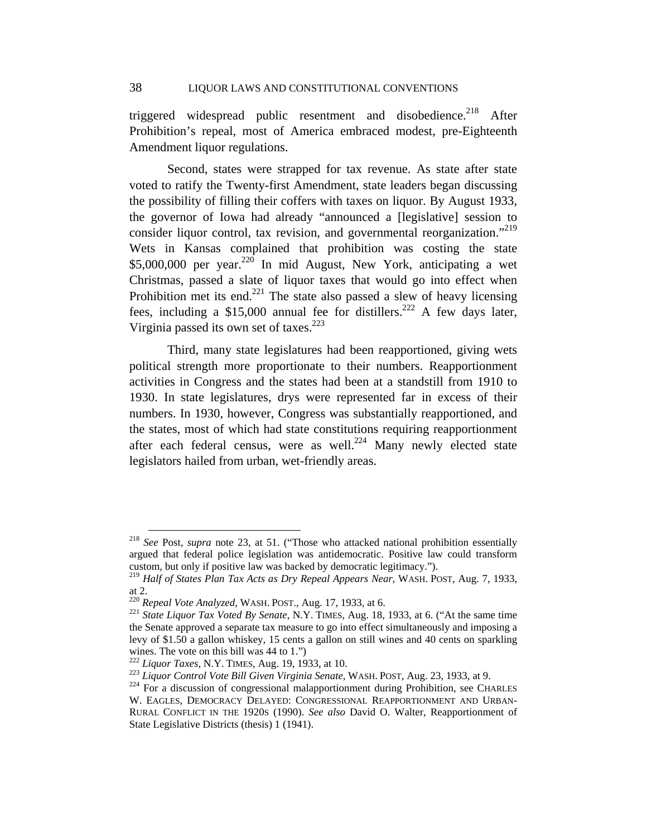triggered widespread public resentment and disobedience.<sup>218</sup> After Prohibition's repeal, most of America embraced modest, pre-Eighteenth Amendment liquor regulations.

Second, states were strapped for tax revenue. As state after state voted to ratify the Twenty-first Amendment, state leaders began discussing the possibility of filling their coffers with taxes on liquor. By August 1933, the governor of Iowa had already "announced a [legislative] session to consider liquor control, tax revision, and governmental reorganization."<sup>219</sup> Wets in Kansas complained that prohibition was costing the state \$5,000,000 per year. $220$  In mid August, New York, anticipating a wet Christmas, passed a slate of liquor taxes that would go into effect when Prohibition met its end. $221$  The state also passed a slew of heavy licensing fees, including a \$15,000 annual fee for distillers.<sup>222</sup> A few days later, Virginia passed its own set of taxes.<sup>223</sup>

Third, many state legislatures had been reapportioned, giving wets political strength more proportionate to their numbers. Reapportionment activities in Congress and the states had been at a standstill from 1910 to 1930. In state legislatures, drys were represented far in excess of their numbers. In 1930, however, Congress was substantially reapportioned, and the states, most of which had state constitutions requiring reapportionment after each federal census, were as well.<sup>224</sup> Many newly elected state legislators hailed from urban, wet-friendly areas.

 <sup>218</sup> *See* Post, *supra* note 23, at 51. ("Those who attacked national prohibition essentially argued that federal police legislation was antidemocratic. Positive law could transform custom, but only if positive law was backed by democratic legitimacy.").

<sup>219</sup> *Half of States Plan Tax Acts as Dry Repeal Appears Near*, WASH. POST, Aug. 7, 1933, at 2.<br><sup>220</sup> Repeal Vote Analyzed, WASH. POST., Aug. 17, 1933, at 6.

<sup>&</sup>lt;sup>221</sup> *State Liquor Tax Voted By Senate*, N.Y. TIMES, Aug. 18, 1933, at 6. ("At the same time the Senate approved a separate tax measure to go into effect simultaneously and imposing a levy of \$1.50 a gallon whiskey, 15 cents a gallon on still wines and 40 cents on sparkling wines. The vote on this bill was  $44$  to 1.")<br><sup>222</sup> *Liquor Taxes*, N.Y. TIMES, Aug. 19, 1933, at 10.

 $^{223}$  Liquor Control Vote Bill Given Virginia Senate, WASH. POST, Aug. 23, 1933, at 9.<br><sup>224</sup> For a discussion of congressional malapportionment during Prohibition, see CHARLES

W. EAGLES, DEMOCRACY DELAYED: CONGRESSIONAL REAPPORTIONMENT AND URBAN-RURAL CONFLICT IN THE 1920S (1990). *See also* David O. Walter, Reapportionment of State Legislative Districts (thesis) 1 (1941).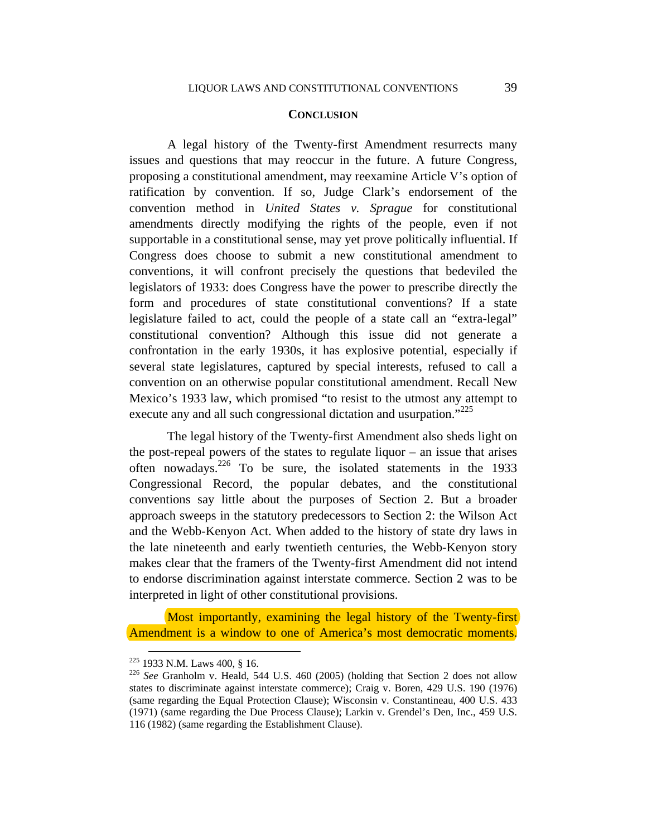#### **CONCLUSION**

A legal history of the Twenty-first Amendment resurrects many issues and questions that may reoccur in the future. A future Congress, proposing a constitutional amendment, may reexamine Article V's option of ratification by convention. If so, Judge Clark's endorsement of the convention method in *United States v. Sprague* for constitutional amendments directly modifying the rights of the people, even if not supportable in a constitutional sense, may yet prove politically influential. If Congress does choose to submit a new constitutional amendment to conventions, it will confront precisely the questions that bedeviled the legislators of 1933: does Congress have the power to prescribe directly the form and procedures of state constitutional conventions? If a state legislature failed to act, could the people of a state call an "extra-legal" constitutional convention? Although this issue did not generate a confrontation in the early 1930s, it has explosive potential, especially if several state legislatures, captured by special interests, refused to call a convention on an otherwise popular constitutional amendment. Recall New Mexico's 1933 law, which promised "to resist to the utmost any attempt to execute any and all such congressional dictation and usurpation."<sup>225</sup>

The legal history of the Twenty-first Amendment also sheds light on the post-repeal powers of the states to regulate liquor – an issue that arises often nowadays.<sup>226</sup> To be sure, the isolated statements in the 1933 Congressional Record, the popular debates, and the constitutional conventions say little about the purposes of Section 2. But a broader approach sweeps in the statutory predecessors to Section 2: the Wilson Act and the Webb-Kenyon Act. When added to the history of state dry laws in the late nineteenth and early twentieth centuries, the Webb-Kenyon story makes clear that the framers of the Twenty-first Amendment did not intend to endorse discrimination against interstate commerce. Section 2 was to be interpreted in light of other constitutional provisions.

Most importantly, examining the legal history of the Twenty-first Amendment is a window to one of America's most democratic moments.

 <sup>225 1933</sup> N.M. Laws 400, § 16. 226 *See* Granholm v. Heald, 544 U.S. 460 (2005) (holding that Section 2 does not allow states to discriminate against interstate commerce); Craig v. Boren, 429 U.S. 190 (1976) (same regarding the Equal Protection Clause); Wisconsin v. Constantineau, 400 U.S. 433 (1971) (same regarding the Due Process Clause); Larkin v. Grendel's Den, Inc., 459 U.S. 116 (1982) (same regarding the Establishment Clause).